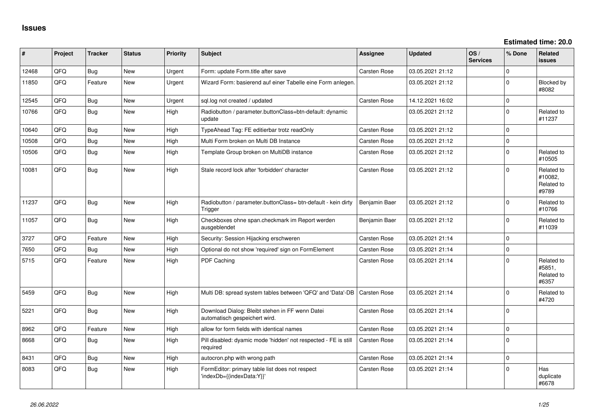| #     | Project | <b>Tracker</b> | <b>Status</b> | <b>Priority</b> | <b>Subject</b>                                                                   | <b>Assignee</b> | <b>Updated</b>   | OS/<br><b>Services</b> | % Done       | Related<br>issues                            |
|-------|---------|----------------|---------------|-----------------|----------------------------------------------------------------------------------|-----------------|------------------|------------------------|--------------|----------------------------------------------|
| 12468 | QFQ     | Bug            | New           | Urgent          | Form: update Form.title after save                                               | Carsten Rose    | 03.05.2021 21:12 |                        | $\Omega$     |                                              |
| 11850 | QFQ     | Feature        | <b>New</b>    | Urgent          | Wizard Form: basierend auf einer Tabelle eine Form anlegen.                      |                 | 03.05.2021 21:12 |                        | $\Omega$     | Blocked by<br>#8082                          |
| 12545 | QFQ     | Bug            | <b>New</b>    | Urgent          | sql.log not created / updated                                                    | Carsten Rose    | 14.12.2021 16:02 |                        | $\mathbf 0$  |                                              |
| 10766 | QFQ     | Bug            | New           | High            | Radiobutton / parameter.buttonClass=btn-default: dynamic<br>update               |                 | 03.05.2021 21:12 |                        | $\Omega$     | Related to<br>#11237                         |
| 10640 | QFQ     | <b>Bug</b>     | New           | High            | TypeAhead Tag: FE editierbar trotz readOnly                                      | Carsten Rose    | 03.05.2021 21:12 |                        | $\mathbf{0}$ |                                              |
| 10508 | QFQ     | <b>Bug</b>     | <b>New</b>    | High            | Multi Form broken on Multi DB Instance                                           | Carsten Rose    | 03.05.2021 21:12 |                        | $\mathbf{0}$ |                                              |
| 10506 | QFQ     | Bug            | <b>New</b>    | High            | Template Group broken on MultiDB instance                                        | Carsten Rose    | 03.05.2021 21:12 |                        | $\Omega$     | Related to<br>#10505                         |
| 10081 | QFQ     | <b>Bug</b>     | New           | High            | Stale record lock after 'forbidden' character                                    | Carsten Rose    | 03.05.2021 21:12 |                        | $\Omega$     | Related to<br>#10082,<br>Related to<br>#9789 |
| 11237 | QFQ     | <b>Bug</b>     | <b>New</b>    | High            | Radiobutton / parameter.buttonClass= btn-default - kein dirty<br>Trigger         | Benjamin Baer   | 03.05.2021 21:12 |                        | $\Omega$     | Related to<br>#10766                         |
| 11057 | QFQ     | Bug            | <b>New</b>    | High            | Checkboxes ohne span.checkmark im Report werden<br>ausgeblendet                  | Benjamin Baer   | 03.05.2021 21:12 |                        | $\Omega$     | Related to<br>#11039                         |
| 3727  | QFQ     | Feature        | <b>New</b>    | High            | Security: Session Hijacking erschweren                                           | Carsten Rose    | 03.05.2021 21:14 |                        | 0            |                                              |
| 7650  | QFQ     | Bug            | New           | High            | Optional do not show 'required' sign on FormElement                              | Carsten Rose    | 03.05.2021 21:14 |                        | $\mathbf 0$  |                                              |
| 5715  | QFQ     | Feature        | <b>New</b>    | High            | PDF Caching                                                                      | Carsten Rose    | 03.05.2021 21:14 |                        | $\Omega$     | Related to<br>#5851,<br>Related to<br>#6357  |
| 5459  | QFQ     | Bug            | New           | High            | Multi DB: spread system tables between 'QFQ' and 'Data'-DB                       | Carsten Rose    | 03.05.2021 21:14 |                        | $\Omega$     | Related to<br>#4720                          |
| 5221  | QFQ     | <b>Bug</b>     | <b>New</b>    | High            | Download Dialog: Bleibt stehen in FF wenn Datei<br>automatisch gespeichert wird. | Carsten Rose    | 03.05.2021 21:14 |                        | $\Omega$     |                                              |
| 8962  | QFQ     | Feature        | <b>New</b>    | High            | allow for form fields with identical names                                       | Carsten Rose    | 03.05.2021 21:14 |                        | $\mathbf 0$  |                                              |
| 8668  | QFQ     | Bug            | New           | High            | Pill disabled: dyamic mode 'hidden' not respected - FE is still<br>required      | Carsten Rose    | 03.05.2021 21:14 |                        | $\Omega$     |                                              |
| 8431  | QFQ     | Bug            | <b>New</b>    | High            | autocron.php with wrong path                                                     | Carsten Rose    | 03.05.2021 21:14 |                        | $\Omega$     |                                              |
| 8083  | QFQ     | Bug            | <b>New</b>    | High            | FormEditor: primary table list does not respect<br>'indexDb={{indexData:Y}}'     | Carsten Rose    | 03.05.2021 21:14 |                        | $\Omega$     | Has<br>duplicate<br>#6678                    |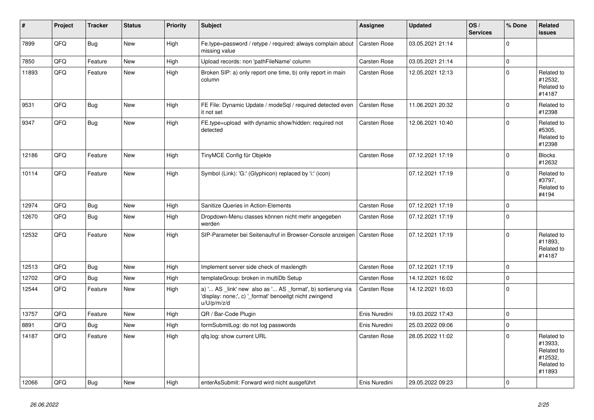| $\sharp$ | Project | <b>Tracker</b> | <b>Status</b> | <b>Priority</b> | Subject                                                                                                                               | Assignee            | <b>Updated</b>   | OS/<br><b>Services</b> | % Done      | Related<br><b>issues</b>                                               |
|----------|---------|----------------|---------------|-----------------|---------------------------------------------------------------------------------------------------------------------------------------|---------------------|------------------|------------------------|-------------|------------------------------------------------------------------------|
| 7899     | QFQ     | Bug            | New           | High            | Fe.type=password / retype / required: always complain about<br>missing value                                                          | <b>Carsten Rose</b> | 03.05.2021 21:14 |                        | $\mathbf 0$ |                                                                        |
| 7850     | QFQ     | Feature        | <b>New</b>    | High            | Upload records: non 'pathFileName' column                                                                                             | Carsten Rose        | 03.05.2021 21:14 |                        | $\mathbf 0$ |                                                                        |
| 11893    | QFQ     | Feature        | New           | High            | Broken SIP: a) only report one time, b) only report in main<br>column                                                                 | Carsten Rose        | 12.05.2021 12:13 |                        | $\Omega$    | Related to<br>#12532,<br>Related to<br>#14187                          |
| 9531     | QFQ     | Bug            | <b>New</b>    | High            | FE File: Dynamic Update / modeSql / required detected even<br>it not set                                                              | Carsten Rose        | 11.06.2021 20:32 |                        | $\mathbf 0$ | Related to<br>#12398                                                   |
| 9347     | QFQ     | <b>Bug</b>     | New           | High            | FE.type=upload with dynamic show/hidden: required not<br>detected                                                                     | Carsten Rose        | 12.06.2021 10:40 |                        | $\Omega$    | Related to<br>#5305,<br>Related to<br>#12398                           |
| 12186    | QFQ     | Feature        | <b>New</b>    | High            | TinyMCE Config für Objekte                                                                                                            | Carsten Rose        | 07.12.2021 17:19 |                        | $\Omega$    | <b>Blocks</b><br>#12632                                                |
| 10114    | QFQ     | Feature        | New           | High            | Symbol (Link): 'G:' (Glyphicon) replaced by 'i:' (icon)                                                                               |                     | 07.12.2021 17:19 |                        | $\Omega$    | Related to<br>#3797,<br>Related to<br>#4194                            |
| 12974    | QFQ     | <b>Bug</b>     | <b>New</b>    | High            | Sanitize Queries in Action-Elements                                                                                                   | Carsten Rose        | 07.12.2021 17:19 |                        | $\mathbf 0$ |                                                                        |
| 12670    | QFQ     | Bug            | <b>New</b>    | High            | Dropdown-Menu classes können nicht mehr angegeben<br>werden                                                                           | Carsten Rose        | 07.12.2021 17:19 |                        | $\Omega$    |                                                                        |
| 12532    | QFQ     | Feature        | <b>New</b>    | High            | SIP-Parameter bei Seitenaufruf in Browser-Console anzeigen                                                                            | Carsten Rose        | 07.12.2021 17:19 |                        | $\Omega$    | Related to<br>#11893,<br>Related to<br>#14187                          |
| 12513    | QFQ     | Bug            | <b>New</b>    | High            | Implement server side check of maxlength                                                                                              | Carsten Rose        | 07.12.2021 17:19 |                        | $\mathbf 0$ |                                                                        |
| 12702    | QFQ     | Bug            | <b>New</b>    | High            | templateGroup: broken in multiDb Setup                                                                                                | Carsten Rose        | 14.12.2021 16:02 |                        | $\mathbf 0$ |                                                                        |
| 12544    | QFQ     | Feature        | <b>New</b>    | High            | a) ' AS _link' new also as ' AS _format', b) sortierung via<br>'display: none;', c) '_format' benoeitgt nicht zwingend<br>u/U/p/m/z/d | Carsten Rose        | 14.12.2021 16:03 |                        | $\mathbf 0$ |                                                                        |
| 13757    | QFQ     | Feature        | <b>New</b>    | High            | QR / Bar-Code Plugin                                                                                                                  | Enis Nuredini       | 19.03.2022 17:43 |                        | $\mathbf 0$ |                                                                        |
| 8891     | QFQ     | <b>Bug</b>     | New           | High            | formSubmitLog: do not log passwords                                                                                                   | Enis Nuredini       | 25.03.2022 09:06 |                        | $\mathbf 0$ |                                                                        |
| 14187    | QFQ     | Feature        | New           | High            | qfq.log: show current URL                                                                                                             | Carsten Rose        | 28.05.2022 11:02 |                        | $\Omega$    | Related to<br>#13933,<br>Related to<br>#12532,<br>Related to<br>#11893 |
| 12066    | QFQ     | <b>Bug</b>     | New           | High            | enterAsSubmit: Forward wird nicht ausgeführt                                                                                          | Enis Nuredini       | 29.05.2022 09:23 |                        | $\mathbf 0$ |                                                                        |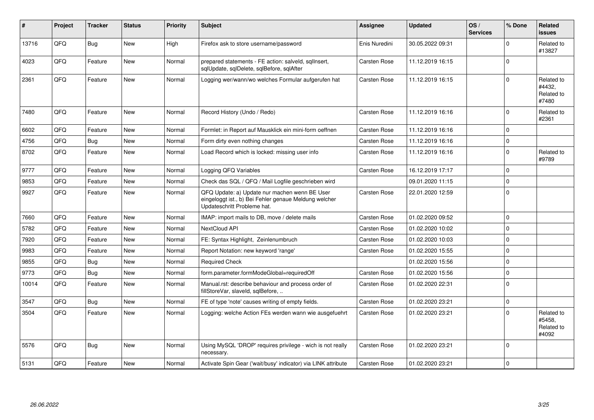| $\#$  | Project | <b>Tracker</b> | <b>Status</b> | <b>Priority</b> | <b>Subject</b>                                                                                                                        | Assignee      | <b>Updated</b>   | OS/<br><b>Services</b> | % Done      | Related<br><b>issues</b>                    |
|-------|---------|----------------|---------------|-----------------|---------------------------------------------------------------------------------------------------------------------------------------|---------------|------------------|------------------------|-------------|---------------------------------------------|
| 13716 | QFQ     | Bug            | <b>New</b>    | High            | Firefox ask to store username/password                                                                                                | Enis Nuredini | 30.05.2022 09:31 |                        | $\Omega$    | Related to<br>#13827                        |
| 4023  | QFQ     | Feature        | New           | Normal          | prepared statements - FE action: salveld, sqllnsert,<br>sqlUpdate, sqlDelete, sqlBefore, sqlAfter                                     | Carsten Rose  | 11.12.2019 16:15 |                        | $\Omega$    |                                             |
| 2361  | QFQ     | Feature        | <b>New</b>    | Normal          | Logging wer/wann/wo welches Formular aufgerufen hat                                                                                   | Carsten Rose  | 11.12.2019 16:15 |                        | $\Omega$    | Related to<br>#4432,<br>Related to<br>#7480 |
| 7480  | QFQ     | Feature        | New           | Normal          | Record History (Undo / Redo)                                                                                                          | Carsten Rose  | 11.12.2019 16:16 |                        | $\Omega$    | Related to<br>#2361                         |
| 6602  | QFQ     | Feature        | <b>New</b>    | Normal          | Formlet: in Report auf Mausklick ein mini-form oeffnen                                                                                | Carsten Rose  | 11.12.2019 16:16 |                        | $\Omega$    |                                             |
| 4756  | QFQ     | <b>Bug</b>     | <b>New</b>    | Normal          | Form dirty even nothing changes                                                                                                       | Carsten Rose  | 11.12.2019 16:16 |                        | $\mathbf 0$ |                                             |
| 8702  | QFQ     | Feature        | <b>New</b>    | Normal          | Load Record which is locked: missing user info                                                                                        | Carsten Rose  | 11.12.2019 16:16 |                        | $\Omega$    | Related to<br>#9789                         |
| 9777  | QFQ     | Feature        | <b>New</b>    | Normal          | Logging QFQ Variables                                                                                                                 | Carsten Rose  | 16.12.2019 17:17 |                        | $\mathbf 0$ |                                             |
| 9853  | QFQ     | Feature        | <b>New</b>    | Normal          | Check das SQL / QFQ / Mail Logfile geschrieben wird                                                                                   |               | 09.01.2020 11:15 |                        | $\mathbf 0$ |                                             |
| 9927  | QFQ     | Feature        | New           | Normal          | QFQ Update: a) Update nur machen wenn BE User<br>eingeloggt ist., b) Bei Fehler genaue Meldung welcher<br>Updateschritt Probleme hat. | Carsten Rose  | 22.01.2020 12:59 |                        | $\Omega$    |                                             |
| 7660  | QFQ     | Feature        | <b>New</b>    | Normal          | IMAP: import mails to DB, move / delete mails                                                                                         | Carsten Rose  | 01.02.2020 09:52 |                        | $\mathbf 0$ |                                             |
| 5782  | QFQ     | Feature        | <b>New</b>    | Normal          | NextCloud API                                                                                                                         | Carsten Rose  | 01.02.2020 10:02 |                        | $\Omega$    |                                             |
| 7920  | QFQ     | Feature        | <b>New</b>    | Normal          | FE: Syntax Highlight, Zeinlenumbruch                                                                                                  | Carsten Rose  | 01.02.2020 10:03 |                        | $\Omega$    |                                             |
| 9983  | QFQ     | Feature        | <b>New</b>    | Normal          | Report Notation: new keyword 'range'                                                                                                  | Carsten Rose  | 01.02.2020 15:55 |                        | $\Omega$    |                                             |
| 9855  | QFQ     | <b>Bug</b>     | <b>New</b>    | Normal          | <b>Required Check</b>                                                                                                                 |               | 01.02.2020 15:56 |                        | $\Omega$    |                                             |
| 9773  | QFQ     | <b>Bug</b>     | New           | Normal          | form.parameter.formModeGlobal=requiredOff                                                                                             | Carsten Rose  | 01.02.2020 15:56 |                        | $\Omega$    |                                             |
| 10014 | QFQ     | Feature        | <b>New</b>    | Normal          | Manual.rst: describe behaviour and process order of<br>fillStoreVar, slaveId, sqlBefore,                                              | Carsten Rose  | 01.02.2020 22:31 |                        | $\Omega$    |                                             |
| 3547  | QFQ     | Bug            | <b>New</b>    | Normal          | FE of type 'note' causes writing of empty fields.                                                                                     | Carsten Rose  | 01.02.2020 23:21 |                        | $\mathbf 0$ |                                             |
| 3504  | QFQ     | Feature        | <b>New</b>    | Normal          | Logging: welche Action FEs werden wann wie ausgefuehrt                                                                                | Carsten Rose  | 01.02.2020 23:21 |                        | $\Omega$    | Related to<br>#5458,<br>Related to<br>#4092 |
| 5576  | QFQ     | Bug            | <b>New</b>    | Normal          | Using MySQL 'DROP' requires privilege - wich is not really<br>necessary.                                                              | Carsten Rose  | 01.02.2020 23:21 |                        | $\Omega$    |                                             |
| 5131  | QFQ     | Feature        | <b>New</b>    | Normal          | Activate Spin Gear ('wait/busy' indicator) via LINK attribute                                                                         | Carsten Rose  | 01.02.2020 23:21 |                        | $\mathbf 0$ |                                             |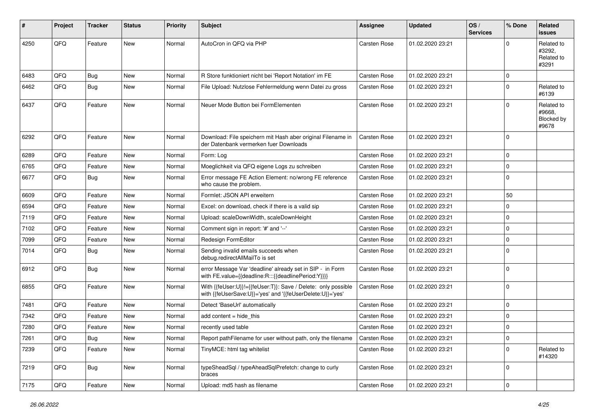| #    | Project | <b>Tracker</b> | <b>Status</b> | <b>Priority</b> | <b>Subject</b>                                                                                                             | <b>Assignee</b> | <b>Updated</b>   | OS/<br><b>Services</b> | % Done      | Related<br><b>issues</b>                    |
|------|---------|----------------|---------------|-----------------|----------------------------------------------------------------------------------------------------------------------------|-----------------|------------------|------------------------|-------------|---------------------------------------------|
| 4250 | QFQ     | Feature        | New           | Normal          | AutoCron in QFQ via PHP                                                                                                    | Carsten Rose    | 01.02.2020 23:21 |                        | $\Omega$    | Related to<br>#3292,<br>Related to<br>#3291 |
| 6483 | QFQ     | <b>Bug</b>     | <b>New</b>    | Normal          | R Store funktioniert nicht bei 'Report Notation' im FE                                                                     | Carsten Rose    | 01.02.2020 23:21 |                        | $\mathbf 0$ |                                             |
| 6462 | QFQ     | Bug            | <b>New</b>    | Normal          | File Upload: Nutzlose Fehlermeldung wenn Datei zu gross                                                                    | Carsten Rose    | 01.02.2020 23:21 |                        | $\mathbf 0$ | Related to<br>#6139                         |
| 6437 | QFQ     | Feature        | <b>New</b>    | Normal          | Neuer Mode Button bei FormElementen                                                                                        | Carsten Rose    | 01.02.2020 23:21 |                        | $\Omega$    | Related to<br>#9668,<br>Blocked by<br>#9678 |
| 6292 | QFQ     | Feature        | <b>New</b>    | Normal          | Download: File speichern mit Hash aber original Filename in<br>der Datenbank vermerken fuer Downloads                      | Carsten Rose    | 01.02.2020 23:21 |                        | $\mathbf 0$ |                                             |
| 6289 | QFQ     | Feature        | <b>New</b>    | Normal          | Form: Log                                                                                                                  | Carsten Rose    | 01.02.2020 23:21 |                        | $\mathbf 0$ |                                             |
| 6765 | QFQ     | Feature        | <b>New</b>    | Normal          | Moeglichkeit via QFQ eigene Logs zu schreiben                                                                              | Carsten Rose    | 01.02.2020 23:21 |                        | $\mathbf 0$ |                                             |
| 6677 | QFQ     | <b>Bug</b>     | <b>New</b>    | Normal          | Error message FE Action Element: no/wrong FE reference<br>who cause the problem.                                           | Carsten Rose    | 01.02.2020 23:21 |                        | $\mathbf 0$ |                                             |
| 6609 | QFQ     | Feature        | New           | Normal          | Formlet: JSON API erweitern                                                                                                | Carsten Rose    | 01.02.2020 23:21 |                        | 50          |                                             |
| 6594 | QFQ     | Feature        | New           | Normal          | Excel: on download, check if there is a valid sip                                                                          | Carsten Rose    | 01.02.2020 23:21 |                        | $\mathbf 0$ |                                             |
| 7119 | QFQ     | Feature        | <b>New</b>    | Normal          | Upload: scaleDownWidth, scaleDownHeight                                                                                    | Carsten Rose    | 01.02.2020 23:21 |                        | $\mathbf 0$ |                                             |
| 7102 | QFQ     | Feature        | <b>New</b>    | Normal          | Comment sign in report: '#' and '--'                                                                                       | Carsten Rose    | 01.02.2020 23:21 |                        | $\mathbf 0$ |                                             |
| 7099 | QFQ     | Feature        | <b>New</b>    | Normal          | Redesign FormEditor                                                                                                        | Carsten Rose    | 01.02.2020 23:21 |                        | $\mathbf 0$ |                                             |
| 7014 | QFQ     | Bug            | New           | Normal          | Sending invalid emails succeeds when<br>debug.redirectAllMailTo is set                                                     | Carsten Rose    | 01.02.2020 23:21 |                        | $\Omega$    |                                             |
| 6912 | QFQ     | Bug            | <b>New</b>    | Normal          | error Message Var 'deadline' already set in SIP - in Form<br>with FE.value={{deadline:R:::{{deadlinePeriod:Y}}}}           | Carsten Rose    | 01.02.2020 23:21 |                        | $\mathbf 0$ |                                             |
| 6855 | QFQ     | Feature        | <b>New</b>    | Normal          | With {{feUser:U}}!={{feUser:T}}: Save / Delete: only possible<br>with {{feUserSave:U}}='yes' and '{{feUserDelete:U}}='yes' | Carsten Rose    | 01.02.2020 23:21 |                        | $\mathbf 0$ |                                             |
| 7481 | QFQ     | Feature        | <b>New</b>    | Normal          | Detect 'BaseUrl' automatically                                                                                             | Carsten Rose    | 01.02.2020 23:21 |                        | $\mathbf 0$ |                                             |
| 7342 | QFQ     | Feature        | <b>New</b>    | Normal          | add content = hide_this                                                                                                    | Carsten Rose    | 01.02.2020 23:21 |                        | $\mathbf 0$ |                                             |
| 7280 | QFQ     | Feature        | <b>New</b>    | Normal          | recently used table                                                                                                        | Carsten Rose    | 01.02.2020 23:21 |                        | $\mathbf 0$ |                                             |
| 7261 | QFQ     | Bug            | New           | Normal          | Report path Filename for user without path, only the filename                                                              | Carsten Rose    | 01.02.2020 23:21 |                        | 0           |                                             |
| 7239 | QFQ     | Feature        | New           | Normal          | TinyMCE: html tag whitelist                                                                                                | Carsten Rose    | 01.02.2020 23:21 |                        | $\mathbf 0$ | Related to<br>#14320                        |
| 7219 | QFQ     | Bug            | New           | Normal          | typeSheadSql / typeAheadSqlPrefetch: change to curly<br>braces                                                             | Carsten Rose    | 01.02.2020 23:21 |                        | 0           |                                             |
| 7175 | QFQ     | Feature        | New           | Normal          | Upload: md5 hash as filename                                                                                               | Carsten Rose    | 01.02.2020 23:21 |                        | $\mathbf 0$ |                                             |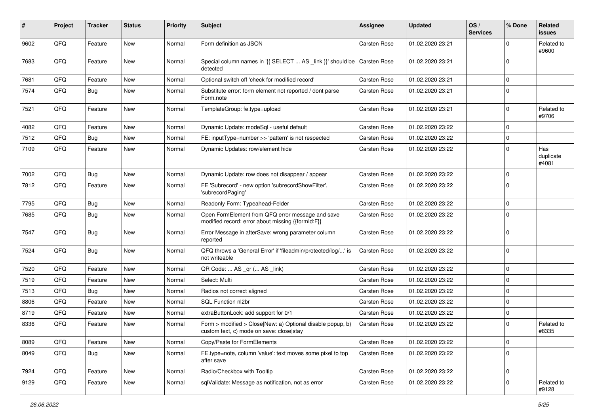| #    | Project | <b>Tracker</b> | <b>Status</b> | <b>Priority</b> | Subject                                                                                                | <b>Assignee</b>     | <b>Updated</b>   | OS/<br><b>Services</b> | % Done       | Related<br><b>issues</b>  |
|------|---------|----------------|---------------|-----------------|--------------------------------------------------------------------------------------------------------|---------------------|------------------|------------------------|--------------|---------------------------|
| 9602 | QFQ     | Feature        | New           | Normal          | Form definition as JSON                                                                                | Carsten Rose        | 01.02.2020 23:21 |                        | $\Omega$     | Related to<br>#9600       |
| 7683 | QFQ     | Feature        | New           | Normal          | Special column names in '{{ SELECT  AS _link }}' should be   Carsten Rose<br>detected                  |                     | 01.02.2020 23:21 |                        | $\mathbf{0}$ |                           |
| 7681 | QFQ     | Feature        | <b>New</b>    | Normal          | Optional switch off 'check for modified record'                                                        | Carsten Rose        | 01.02.2020 23:21 |                        | $\Omega$     |                           |
| 7574 | QFQ     | Bug            | <b>New</b>    | Normal          | Substitute error: form element not reported / dont parse<br>Form.note                                  | Carsten Rose        | 01.02.2020 23:21 |                        | $\Omega$     |                           |
| 7521 | QFQ     | Feature        | New           | Normal          | TemplateGroup: fe.type=upload                                                                          | Carsten Rose        | 01.02.2020 23:21 |                        | $\Omega$     | Related to<br>#9706       |
| 4082 | QFQ     | Feature        | <b>New</b>    | Normal          | Dynamic Update: modeSql - useful default                                                               | Carsten Rose        | 01.02.2020 23:22 |                        | $\Omega$     |                           |
| 7512 | QFQ     | Bug            | <b>New</b>    | Normal          | FE: inputType=number >> 'pattern' is not respected                                                     | Carsten Rose        | 01.02.2020 23:22 |                        | $\mathbf 0$  |                           |
| 7109 | QFQ     | Feature        | New           | Normal          | Dynamic Updates: row/element hide                                                                      | Carsten Rose        | 01.02.2020 23:22 |                        | $\Omega$     | Has<br>duplicate<br>#4081 |
| 7002 | QFQ     | <b>Bug</b>     | <b>New</b>    | Normal          | Dynamic Update: row does not disappear / appear                                                        | <b>Carsten Rose</b> | 01.02.2020 23:22 |                        | $\mathbf 0$  |                           |
| 7812 | QFQ     | Feature        | New           | Normal          | FE 'Subrecord' - new option 'subrecordShowFilter',<br>'subrecordPaging'                                | Carsten Rose        | 01.02.2020 23:22 |                        | $\Omega$     |                           |
| 7795 | QFQ     | Bug            | <b>New</b>    | Normal          | Readonly Form: Typeahead-Felder                                                                        | Carsten Rose        | 01.02.2020 23:22 |                        | $\mathbf 0$  |                           |
| 7685 | QFQ     | Bug            | <b>New</b>    | Normal          | Open FormElement from QFQ error message and save<br>modified record: error about missing {{formId:F}}  | Carsten Rose        | 01.02.2020 23:22 |                        | $\Omega$     |                           |
| 7547 | QFQ     | Bug            | New           | Normal          | Error Message in afterSave: wrong parameter column<br>reported                                         | Carsten Rose        | 01.02.2020 23:22 |                        | $\Omega$     |                           |
| 7524 | QFQ     | Bug            | New           | Normal          | QFQ throws a 'General Error' if 'fileadmin/protected/log/' is<br>not writeable                         | Carsten Rose        | 01.02.2020 23:22 |                        | $\Omega$     |                           |
| 7520 | QFQ     | Feature        | <b>New</b>    | Normal          | QR Code:  AS _qr ( AS _link)                                                                           | Carsten Rose        | 01.02.2020 23:22 |                        | $\Omega$     |                           |
| 7519 | QFQ     | Feature        | New           | Normal          | Select: Multi                                                                                          | Carsten Rose        | 01.02.2020 23:22 |                        | $\mathbf 0$  |                           |
| 7513 | QFQ     | Bug            | New           | Normal          | Radios not correct aligned                                                                             | Carsten Rose        | 01.02.2020 23:22 |                        | $\Omega$     |                           |
| 8806 | QFQ     | Feature        | <b>New</b>    | Normal          | SQL Function nl2br                                                                                     | Carsten Rose        | 01.02.2020 23:22 |                        | $\Omega$     |                           |
| 8719 | QFQ     | Feature        | New           | Normal          | extraButtonLock: add support for 0/1                                                                   | Carsten Rose        | 01.02.2020 23:22 |                        | $\mathbf 0$  |                           |
| 8336 | QFQ     | Feature        | New           | Normal          | Form > modified > Close New: a) Optional disable popup, b)<br>custom text, c) mode on save: close stay | Carsten Rose        | 01.02.2020 23:22 |                        | $\Omega$     | Related to<br>#8335       |
| 8089 | QFO     | Feature        | New           | Normal          | Copy/Paste for FormElements                                                                            | Carsten Rose        | 01.02.2020 23:22 |                        | $\mathbf 0$  |                           |
| 8049 | QFQ     | <b>Bug</b>     | New           | Normal          | FE.type=note, column 'value': text moves some pixel to top<br>after save                               | Carsten Rose        | 01.02.2020 23:22 |                        | $\mathbf 0$  |                           |
| 7924 | QFQ     | Feature        | New           | Normal          | Radio/Checkbox with Tooltip                                                                            | Carsten Rose        | 01.02.2020 23:22 |                        | $\Omega$     |                           |
| 9129 | QFQ     | Feature        | New           | Normal          | sqlValidate: Message as notification, not as error                                                     | Carsten Rose        | 01.02.2020 23:22 |                        | $\mathbf 0$  | Related to<br>#9128       |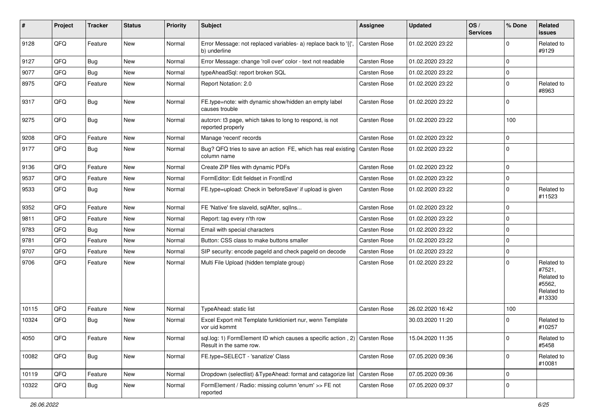| $\vert$ # | Project | <b>Tracker</b> | <b>Status</b> | <b>Priority</b> | <b>Subject</b>                                                                                        | <b>Assignee</b>     | <b>Updated</b>   | OS/<br><b>Services</b> | % Done      | Related<br><b>issues</b>                                             |
|-----------|---------|----------------|---------------|-----------------|-------------------------------------------------------------------------------------------------------|---------------------|------------------|------------------------|-------------|----------------------------------------------------------------------|
| 9128      | QFQ     | Feature        | New           | Normal          | Error Message: not replaced variables- a) replace back to '{{',<br>b) underline                       | Carsten Rose        | 01.02.2020 23:22 |                        | $\Omega$    | Related to<br>#9129                                                  |
| 9127      | QFQ     | Bug            | <b>New</b>    | Normal          | Error Message: change 'roll over' color - text not readable                                           | Carsten Rose        | 01.02.2020 23:22 |                        | $\mathbf 0$ |                                                                      |
| 9077      | QFQ     | <b>Bug</b>     | New           | Normal          | typeAheadSql: report broken SQL                                                                       | Carsten Rose        | 01.02.2020 23:22 |                        | $\Omega$    |                                                                      |
| 8975      | QFQ     | Feature        | <b>New</b>    | Normal          | Report Notation: 2.0                                                                                  | Carsten Rose        | 01.02.2020 23:22 |                        | $\Omega$    | Related to<br>#8963                                                  |
| 9317      | QFQ     | <b>Bug</b>     | New           | Normal          | FE.type=note: with dynamic show/hidden an empty label<br>causes trouble                               | Carsten Rose        | 01.02.2020 23:22 |                        | $\mathbf 0$ |                                                                      |
| 9275      | QFQ     | Bug            | <b>New</b>    | Normal          | autcron: t3 page, which takes to long to respond, is not<br>reported properly                         | Carsten Rose        | 01.02.2020 23:22 |                        | 100         |                                                                      |
| 9208      | QFQ     | Feature        | <b>New</b>    | Normal          | Manage 'recent' records                                                                               | Carsten Rose        | 01.02.2020 23:22 |                        | $\mathbf 0$ |                                                                      |
| 9177      | QFQ     | Bug            | <b>New</b>    | Normal          | Bug? QFQ tries to save an action FE, which has real existing<br>column name                           | <b>Carsten Rose</b> | 01.02.2020 23:22 |                        | $\mathbf 0$ |                                                                      |
| 9136      | QFQ     | Feature        | <b>New</b>    | Normal          | Create ZIP files with dynamic PDFs                                                                    | Carsten Rose        | 01.02.2020 23:22 |                        | $\mathbf 0$ |                                                                      |
| 9537      | QFQ     | Feature        | <b>New</b>    | Normal          | FormEditor: Edit fieldset in FrontEnd                                                                 | Carsten Rose        | 01.02.2020 23:22 |                        | $\mathbf 0$ |                                                                      |
| 9533      | QFQ     | Bug            | New           | Normal          | FE.type=upload: Check in 'beforeSave' if upload is given                                              | Carsten Rose        | 01.02.2020 23:22 |                        | $\mathbf 0$ | Related to<br>#11523                                                 |
| 9352      | QFQ     | Feature        | <b>New</b>    | Normal          | FE 'Native' fire slaveld, sqlAfter, sqlIns                                                            | Carsten Rose        | 01.02.2020 23:22 |                        | 0           |                                                                      |
| 9811      | QFQ     | Feature        | New           | Normal          | Report: tag every n'th row                                                                            | Carsten Rose        | 01.02.2020 23:22 |                        | $\mathbf 0$ |                                                                      |
| 9783      | QFQ     | Bug            | <b>New</b>    | Normal          | Email with special characters                                                                         | Carsten Rose        | 01.02.2020 23:22 |                        | $\mathbf 0$ |                                                                      |
| 9781      | QFQ     | Feature        | New           | Normal          | Button: CSS class to make buttons smaller                                                             | Carsten Rose        | 01.02.2020 23:22 |                        | $\Omega$    |                                                                      |
| 9707      | QFQ     | Feature        | New           | Normal          | SIP security: encode pageld and check pageld on decode                                                | Carsten Rose        | 01.02.2020 23:22 |                        | $\mathbf 0$ |                                                                      |
| 9706      | QFQ     | Feature        | <b>New</b>    | Normal          | Multi File Upload (hidden template group)                                                             | <b>Carsten Rose</b> | 01.02.2020 23:22 |                        | $\Omega$    | Related to<br>#7521,<br>Related to<br>#5562,<br>Related to<br>#13330 |
| 10115     | QFQ     | Feature        | <b>New</b>    | Normal          | TypeAhead: static list                                                                                | Carsten Rose        | 26.02.2020 16:42 |                        | 100         |                                                                      |
| 10324     | QFQ     | Bug            | New           | Normal          | Excel Export mit Template funktioniert nur, wenn Template<br>vor uid kommt                            |                     | 30.03.2020 11:20 |                        | $\Omega$    | Related to<br>#10257                                                 |
| 4050      | QFQ     | Feature        | New           | Normal          | sql.log: 1) FormElement ID which causes a specific action, 2) Carsten Rose<br>Result in the same row. |                     | 15.04.2020 11:35 |                        | 0           | Related to<br>#5458                                                  |
| 10082     | QFQ     | Bug            | New           | Normal          | FE.type=SELECT - 'sanatize' Class                                                                     | Carsten Rose        | 07.05.2020 09:36 |                        | $\mathbf 0$ | Related to<br>#10081                                                 |
| 10119     | QFQ     | Feature        | New           | Normal          | Dropdown (selectlist) & Type Ahead: format and catagorize list                                        | Carsten Rose        | 07.05.2020 09:36 |                        | 0           |                                                                      |
| 10322     | QFQ     | Bug            | New           | Normal          | FormElement / Radio: missing column 'enum' >> FE not<br>reported                                      | Carsten Rose        | 07.05.2020 09:37 |                        | 0           |                                                                      |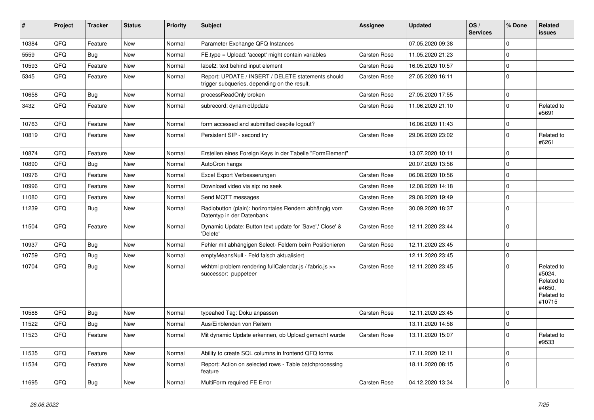| #     | Project | <b>Tracker</b> | <b>Status</b> | <b>Priority</b> | <b>Subject</b>                                                                                     | <b>Assignee</b> | <b>Updated</b>   | OS/<br><b>Services</b> | % Done      | Related<br><b>issues</b>                                             |
|-------|---------|----------------|---------------|-----------------|----------------------------------------------------------------------------------------------------|-----------------|------------------|------------------------|-------------|----------------------------------------------------------------------|
| 10384 | QFQ     | Feature        | <b>New</b>    | Normal          | Parameter Exchange QFQ Instances                                                                   |                 | 07.05.2020 09:38 |                        | $\mathbf 0$ |                                                                      |
| 5559  | QFQ     | Bug            | <b>New</b>    | Normal          | FE.type = Upload: 'accept' might contain variables                                                 | Carsten Rose    | 11.05.2020 21:23 |                        | $\mathbf 0$ |                                                                      |
| 10593 | QFQ     | Feature        | <b>New</b>    | Normal          | label2: text behind input element                                                                  | Carsten Rose    | 16.05.2020 10:57 |                        | $\pmb{0}$   |                                                                      |
| 5345  | QFQ     | Feature        | <b>New</b>    | Normal          | Report: UPDATE / INSERT / DELETE statements should<br>trigger subqueries, depending on the result. | Carsten Rose    | 27.05.2020 16:11 |                        | $\mathbf 0$ |                                                                      |
| 10658 | QFQ     | <b>Bug</b>     | <b>New</b>    | Normal          | processReadOnly broken                                                                             | Carsten Rose    | 27.05.2020 17:55 |                        | $\mathbf 0$ |                                                                      |
| 3432  | QFQ     | Feature        | <b>New</b>    | Normal          | subrecord: dynamicUpdate                                                                           | Carsten Rose    | 11.06.2020 21:10 |                        | $\mathbf 0$ | Related to<br>#5691                                                  |
| 10763 | QFQ     | Feature        | <b>New</b>    | Normal          | form accessed and submitted despite logout?                                                        |                 | 16.06.2020 11:43 |                        | $\pmb{0}$   |                                                                      |
| 10819 | QFQ     | Feature        | New           | Normal          | Persistent SIP - second try                                                                        | Carsten Rose    | 29.06.2020 23:02 |                        | $\mathbf 0$ | Related to<br>#6261                                                  |
| 10874 | QFQ     | Feature        | <b>New</b>    | Normal          | Erstellen eines Foreign Keys in der Tabelle "FormElement"                                          |                 | 13.07.2020 10:11 |                        | $\mathbf 0$ |                                                                      |
| 10890 | QFQ     | Bug            | <b>New</b>    | Normal          | AutoCron hangs                                                                                     |                 | 20.07.2020 13:56 |                        | $\pmb{0}$   |                                                                      |
| 10976 | QFQ     | Feature        | <b>New</b>    | Normal          | Excel Export Verbesserungen                                                                        | Carsten Rose    | 06.08.2020 10:56 |                        | $\pmb{0}$   |                                                                      |
| 10996 | QFQ     | Feature        | <b>New</b>    | Normal          | Download video via sip: no seek                                                                    | Carsten Rose    | 12.08.2020 14:18 |                        | $\mathbf 0$ |                                                                      |
| 11080 | QFQ     | Feature        | New           | Normal          | Send MQTT messages                                                                                 | Carsten Rose    | 29.08.2020 19:49 |                        | $\mathbf 0$ |                                                                      |
| 11239 | QFQ     | <b>Bug</b>     | <b>New</b>    | Normal          | Radiobutton (plain): horizontales Rendern abhängig vom<br>Datentyp in der Datenbank                | Carsten Rose    | 30.09.2020 18:37 |                        | $\mathbf 0$ |                                                                      |
| 11504 | QFQ     | Feature        | <b>New</b>    | Normal          | Dynamic Update: Button text update for 'Save',' Close' &<br>'Delete'                               | Carsten Rose    | 12.11.2020 23:44 |                        | $\mathbf 0$ |                                                                      |
| 10937 | QFQ     | Bug            | <b>New</b>    | Normal          | Fehler mit abhängigen Select- Feldern beim Positionieren                                           | Carsten Rose    | 12.11.2020 23:45 |                        | $\pmb{0}$   |                                                                      |
| 10759 | QFQ     | Bug            | <b>New</b>    | Normal          | emptyMeansNull - Feld falsch aktualisiert                                                          |                 | 12.11.2020 23:45 |                        | $\pmb{0}$   |                                                                      |
| 10704 | QFQ     | <b>Bug</b>     | New           | Normal          | wkhtml problem rendering fullCalendar.js / fabric.js >><br>successor: puppeteer                    | Carsten Rose    | 12.11.2020 23:45 |                        | $\Omega$    | Related to<br>#5024,<br>Related to<br>#4650.<br>Related to<br>#10715 |
| 10588 | QFQ     | <b>Bug</b>     | <b>New</b>    | Normal          | typeahed Tag: Doku anpassen                                                                        | Carsten Rose    | 12.11.2020 23:45 |                        | $\mathbf 0$ |                                                                      |
| 11522 | QFQ     | <b>Bug</b>     | <b>New</b>    | Normal          | Aus/Einblenden von Reitern                                                                         |                 | 13.11.2020 14:58 |                        | $\mathbf 0$ |                                                                      |
| 11523 | QFQ     | Feature        | New           | Normal          | Mit dynamic Update erkennen, ob Upload gemacht wurde                                               | Carsten Rose    | 13.11.2020 15:07 |                        | $\Omega$    | Related to<br>#9533                                                  |
| 11535 | QFQ     | Feature        | <b>New</b>    | Normal          | Ability to create SQL columns in frontend QFQ forms                                                |                 | 17.11.2020 12:11 |                        | $\mathbf 0$ |                                                                      |
| 11534 | QFQ     | Feature        | <b>New</b>    | Normal          | Report: Action on selected rows - Table batchprocessing<br>feature                                 |                 | 18.11.2020 08:15 |                        | $\mathbf 0$ |                                                                      |
| 11695 | QFQ     | <b>Bug</b>     | <b>New</b>    | Normal          | MultiForm required FE Error                                                                        | Carsten Rose    | 04.12.2020 13:34 |                        | $\pmb{0}$   |                                                                      |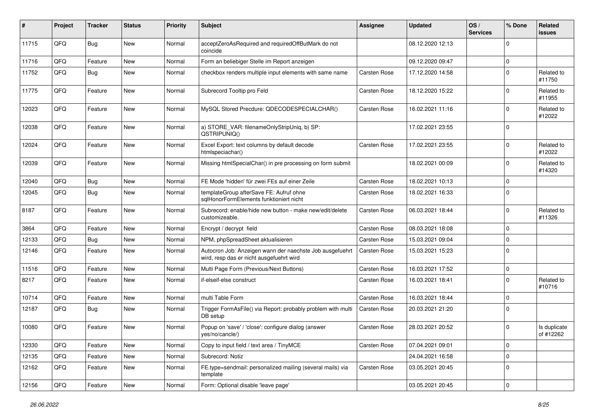| $\sharp$ | Project | <b>Tracker</b> | <b>Status</b> | <b>Priority</b> | Subject                                                                                              | <b>Assignee</b>     | <b>Updated</b>   | OS/<br><b>Services</b> | % Done      | Related<br><b>issues</b>  |
|----------|---------|----------------|---------------|-----------------|------------------------------------------------------------------------------------------------------|---------------------|------------------|------------------------|-------------|---------------------------|
| 11715    | QFQ     | Bug            | <b>New</b>    | Normal          | acceptZeroAsRequired and requiredOffButMark do not<br>coincide                                       |                     | 08.12.2020 12:13 |                        | $\Omega$    |                           |
| 11716    | QFQ     | Feature        | New           | Normal          | Form an beliebiger Stelle im Report anzeigen                                                         |                     | 09.12.2020 09:47 |                        | $\mathbf 0$ |                           |
| 11752    | QFQ     | Bug            | <b>New</b>    | Normal          | checkbox renders multiple input elements with same name                                              | Carsten Rose        | 17.12.2020 14:58 |                        | $\mathbf 0$ | Related to<br>#11750      |
| 11775    | QFQ     | Feature        | <b>New</b>    | Normal          | Subrecord Tooltip pro Feld                                                                           | Carsten Rose        | 18.12.2020 15:22 |                        | $\mathbf 0$ | Related to<br>#11955      |
| 12023    | QFQ     | Feature        | <b>New</b>    | Normal          | MySQL Stored Precdure: QDECODESPECIALCHAR()                                                          | <b>Carsten Rose</b> | 16.02.2021 11:16 |                        | $\Omega$    | Related to<br>#12022      |
| 12038    | QFQ     | Feature        | <b>New</b>    | Normal          | a) STORE_VAR: filenameOnlyStripUniq, b) SP:<br>QSTRIPUNIQ()                                          |                     | 17.02.2021 23:55 |                        | $\mathbf 0$ |                           |
| 12024    | QFQ     | Feature        | <b>New</b>    | Normal          | Excel Export: text columns by default decode<br>htmlspeciachar()                                     | <b>Carsten Rose</b> | 17.02.2021 23:55 |                        | $\mathbf 0$ | Related to<br>#12022      |
| 12039    | QFQ     | Feature        | New           | Normal          | Missing htmlSpecialChar() in pre processing on form submit                                           |                     | 18.02.2021 00:09 |                        | $\mathbf 0$ | Related to<br>#14320      |
| 12040    | QFQ     | Bug            | <b>New</b>    | Normal          | FE Mode 'hidden' für zwei FEs auf einer Zeile                                                        | Carsten Rose        | 18.02.2021 10:13 |                        | $\mathbf 0$ |                           |
| 12045    | QFQ     | <b>Bug</b>     | New           | Normal          | templateGroup afterSave FE: Aufruf ohne<br>sglHonorFormElements funktioniert nicht                   | Carsten Rose        | 18.02.2021 16:33 |                        | $\Omega$    |                           |
| 8187     | QFQ     | Feature        | New           | Normal          | Subrecord: enable/hide new button - make new/edit/delete<br>customizeable.                           | <b>Carsten Rose</b> | 06.03.2021 18:44 |                        | $\Omega$    | Related to<br>#11326      |
| 3864     | QFQ     | Feature        | <b>New</b>    | Normal          | Encrypt / decrypt field                                                                              | <b>Carsten Rose</b> | 08.03.2021 18:08 |                        | $\mathbf 0$ |                           |
| 12133    | QFQ     | <b>Bug</b>     | <b>New</b>    | Normal          | NPM, phpSpreadSheet aktualisieren                                                                    | Carsten Rose        | 15.03.2021 09:04 |                        | $\mathbf 0$ |                           |
| 12146    | QFQ     | Feature        | <b>New</b>    | Normal          | Autocron Job: Anzeigen wann der naechste Job ausgefuehrt<br>wird, resp das er nicht ausgefuehrt wird | <b>Carsten Rose</b> | 15.03.2021 15:23 |                        | $\Omega$    |                           |
| 11516    | QFQ     | Feature        | <b>New</b>    | Normal          | Multi Page Form (Previous/Next Buttons)                                                              | <b>Carsten Rose</b> | 16.03.2021 17:52 |                        | $\mathbf 0$ |                           |
| 8217     | QFQ     | Feature        | <b>New</b>    | Normal          | if-elseif-else construct                                                                             | <b>Carsten Rose</b> | 16.03.2021 18:41 |                        | $\mathbf 0$ | Related to<br>#10716      |
| 10714    | QFQ     | Feature        | <b>New</b>    | Normal          | multi Table Form                                                                                     | <b>Carsten Rose</b> | 16.03.2021 18:44 |                        | $\mathbf 0$ |                           |
| 12187    | QFQ     | <b>Bug</b>     | <b>New</b>    | Normal          | Trigger FormAsFile() via Report: probably problem with multi<br>DB setup                             | Carsten Rose        | 20.03.2021 21:20 |                        | $\mathbf 0$ |                           |
| 10080    | QFQ     | Feature        | <b>New</b>    | Normal          | Popup on 'save' / 'close': configure dialog (answer<br>yes/no/cancle/)                               | <b>Carsten Rose</b> | 28.03.2021 20:52 |                        | $\mathbf 0$ | Is duplicate<br>of #12262 |
| 12330    | QFQ     | Feature        | New           | Normal          | Copy to input field / text area / TinyMCE                                                            | Carsten Rose        | 07.04.2021 09:01 |                        | $\mathbf 0$ |                           |
| 12135    | QFQ     | Feature        | New           | Normal          | Subrecord: Notiz                                                                                     |                     | 24.04.2021 16:58 |                        | $\mathbf 0$ |                           |
| 12162    | QFQ     | Feature        | New           | Normal          | FE.type=sendmail: personalized mailing (several mails) via<br>template                               | Carsten Rose        | 03.05.2021 20:45 |                        | 0           |                           |
| 12156    | QFQ     | Feature        | New           | Normal          | Form: Optional disable 'leave page'                                                                  |                     | 03.05.2021 20:45 |                        | $\mathbf 0$ |                           |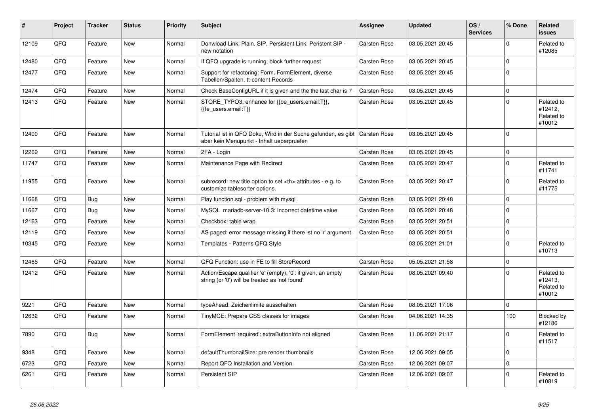| ∦     | <b>Project</b> | <b>Tracker</b> | <b>Status</b> | <b>Priority</b> | <b>Subject</b>                                                                                                 | <b>Assignee</b>                                        | <b>Updated</b>   | OS/<br><b>Services</b> | % Done      | Related<br><b>issues</b>                      |                      |
|-------|----------------|----------------|---------------|-----------------|----------------------------------------------------------------------------------------------------------------|--------------------------------------------------------|------------------|------------------------|-------------|-----------------------------------------------|----------------------|
| 12109 | QFQ            | Feature        | <b>New</b>    | Normal          | Donwload Link: Plain, SIP, Persistent Link, Peristent SIP -<br>new notation                                    | Carsten Rose                                           | 03.05.2021 20:45 |                        | $\Omega$    | Related to<br>#12085                          |                      |
| 12480 | QFQ            | Feature        | <b>New</b>    | Normal          | If QFQ upgrade is running, block further request                                                               | Carsten Rose                                           | 03.05.2021 20:45 |                        | $\mathbf 0$ |                                               |                      |
| 12477 | QFQ            | Feature        | New           | Normal          | Support for refactoring: Form, FormElement, diverse<br>Tabellen/Spalten, tt-content Records                    | Carsten Rose                                           | 03.05.2021 20:45 |                        | $\mathbf 0$ |                                               |                      |
| 12474 | QFQ            | Feature        | <b>New</b>    | Normal          | Check BaseConfigURL if it is given and the the last char is '/'                                                | Carsten Rose                                           | 03.05.2021 20:45 |                        | $\mathbf 0$ |                                               |                      |
| 12413 | QFQ            | Feature        | <b>New</b>    | Normal          | STORE TYPO3: enhance for {{be users.email:T}},<br>{{fe users.email:T}}                                         | Carsten Rose                                           | 03.05.2021 20:45 |                        | $\Omega$    | Related to<br>#12412,<br>Related to<br>#10012 |                      |
| 12400 | QFQ            | Feature        | New           | Normal          | Tutorial ist in QFQ Doku, Wird in der Suche gefunden, es gibt<br>aber kein Menupunkt - Inhalt ueberpruefen     | <b>Carsten Rose</b>                                    | 03.05.2021 20:45 |                        | $\mathbf 0$ |                                               |                      |
| 12269 | QFQ            | Feature        | <b>New</b>    | Normal          | 2FA - Login                                                                                                    | Carsten Rose                                           | 03.05.2021 20:45 |                        | $\Omega$    |                                               |                      |
| 11747 | QFQ            | Feature        | <b>New</b>    | Normal          | Maintenance Page with Redirect                                                                                 | Carsten Rose                                           | 03.05.2021 20:47 |                        | $\mathbf 0$ | Related to<br>#11741                          |                      |
| 11955 | QFQ            | Feature        | <b>New</b>    | Normal          | subrecord: new title option to set <th> attributes - e.g. to<br/>customize tablesorter options.</th>           | attributes - e.g. to<br>customize tablesorter options. | Carsten Rose     | 03.05.2021 20:47       |             | $\Omega$                                      | Related to<br>#11775 |
| 11668 | QFQ            | Bug            | <b>New</b>    | Normal          | Play function.sgl - problem with mysgl                                                                         | Carsten Rose                                           | 03.05.2021 20:48 |                        | $\mathbf 0$ |                                               |                      |
| 11667 | QFQ            | Bug            | <b>New</b>    | Normal          | MySQL mariadb-server-10.3: Incorrect datetime value                                                            | Carsten Rose                                           | 03.05.2021 20:48 |                        | $\mathbf 0$ |                                               |                      |
| 12163 | QFQ            | Feature        | <b>New</b>    | Normal          | Checkbox: table wrap                                                                                           | Carsten Rose                                           | 03.05.2021 20:51 |                        | $\mathbf 0$ |                                               |                      |
| 12119 | QFQ            | Feature        | <b>New</b>    | Normal          | AS paged: error message missing if there ist no 'r' argument.                                                  | Carsten Rose                                           | 03.05.2021 20:51 |                        | $\mathbf 0$ |                                               |                      |
| 10345 | QFQ            | Feature        | New           | Normal          | Templates - Patterns QFQ Style                                                                                 |                                                        | 03.05.2021 21:01 |                        | $\mathbf 0$ | Related to<br>#10713                          |                      |
| 12465 | QFQ            | Feature        | <b>New</b>    | Normal          | QFQ Function: use in FE to fill StoreRecord                                                                    | Carsten Rose                                           | 05.05.2021 21:58 |                        | $\mathbf 0$ |                                               |                      |
| 12412 | QFQ            | Feature        | New           | Normal          | Action/Escape qualifier 'e' (empty), '0': if given, an empty<br>string (or '0') will be treated as 'not found' | <b>Carsten Rose</b>                                    | 08.05.2021 09:40 |                        | $\Omega$    | Related to<br>#12413,<br>Related to<br>#10012 |                      |
| 9221  | QFQ            | Feature        | New           | Normal          | typeAhead: Zeichenlimite ausschalten                                                                           | Carsten Rose                                           | 08.05.2021 17:06 |                        | $\mathbf 0$ |                                               |                      |
| 12632 | QFQ            | Feature        | New           | Normal          | TinyMCE: Prepare CSS classes for images                                                                        | Carsten Rose                                           | 04.06.2021 14:35 |                        | 100         | Blocked by<br>#12186                          |                      |
| 7890  | QFQ            | <b>Bug</b>     | New           | Normal          | FormElement 'required': extraButtonInfo not aligned                                                            | Carsten Rose                                           | 11.06.2021 21:17 |                        | $\Omega$    | Related to<br>#11517                          |                      |
| 9348  | QFQ            | Feature        | <b>New</b>    | Normal          | defaultThumbnailSize: pre render thumbnails                                                                    | Carsten Rose                                           | 12.06.2021 09:05 |                        | $\mathbf 0$ |                                               |                      |
| 6723  | QFQ            | Feature        | <b>New</b>    | Normal          | Report QFQ Installation and Version                                                                            | Carsten Rose                                           | 12.06.2021 09:07 |                        | $\Omega$    |                                               |                      |
| 6261  | QFQ            | Feature        | <b>New</b>    | Normal          | Persistent SIP                                                                                                 | Carsten Rose                                           | 12.06.2021 09:07 |                        | $\Omega$    | Related to<br>#10819                          |                      |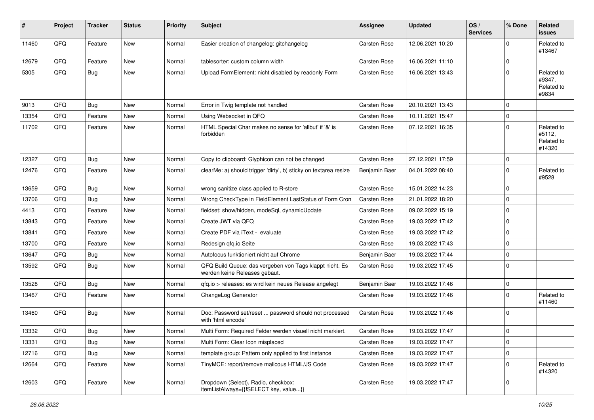| #     | Project | <b>Tracker</b> | <b>Status</b> | <b>Priority</b> | Subject                                                                                  | <b>Assignee</b>     | <b>Updated</b>   | OS/<br><b>Services</b> | % Done      | Related<br><b>issues</b>                     |
|-------|---------|----------------|---------------|-----------------|------------------------------------------------------------------------------------------|---------------------|------------------|------------------------|-------------|----------------------------------------------|
| 11460 | QFQ     | Feature        | <b>New</b>    | Normal          | Easier creation of changelog: gitchangelog                                               | Carsten Rose        | 12.06.2021 10:20 |                        | $\Omega$    | Related to<br>#13467                         |
| 12679 | QFQ     | Feature        | New           | Normal          | tablesorter: custom column width                                                         | Carsten Rose        | 16.06.2021 11:10 |                        | $\mathbf 0$ |                                              |
| 5305  | QFQ     | Bug            | New           | Normal          | Upload FormElement: nicht disabled by readonly Form                                      | Carsten Rose        | 16.06.2021 13:43 |                        | $\Omega$    | Related to<br>#9347,<br>Related to<br>#9834  |
| 9013  | QFQ     | Bug            | <b>New</b>    | Normal          | Error in Twig template not handled                                                       | <b>Carsten Rose</b> | 20.10.2021 13:43 |                        | $\Omega$    |                                              |
| 13354 | QFQ     | Feature        | <b>New</b>    | Normal          | Using Websocket in QFQ                                                                   | Carsten Rose        | 10.11.2021 15:47 |                        | $\Omega$    |                                              |
| 11702 | QFQ     | Feature        | New           | Normal          | HTML Special Char makes no sense for 'allbut' if '&' is<br>forbidden                     | Carsten Rose        | 07.12.2021 16:35 |                        | $\Omega$    | Related to<br>#5112,<br>Related to<br>#14320 |
| 12327 | QFQ     | Bug            | <b>New</b>    | Normal          | Copy to clipboard: Glyphicon can not be changed                                          | Carsten Rose        | 27.12.2021 17:59 |                        | $\mathbf 0$ |                                              |
| 12476 | QFQ     | Feature        | New           | Normal          | clearMe: a) should trigger 'dirty', b) sticky on textarea resize                         | Benjamin Baer       | 04.01.2022 08:40 |                        | $\Omega$    | Related to<br>#9528                          |
| 13659 | QFQ     | Bug            | <b>New</b>    | Normal          | wrong sanitize class applied to R-store                                                  | Carsten Rose        | 15.01.2022 14:23 |                        | $\Omega$    |                                              |
| 13706 | QFQ     | Bug            | New           | Normal          | Wrong CheckType in FieldElement LastStatus of Form Cron                                  | Carsten Rose        | 21.01.2022 18:20 |                        | $\mathbf 0$ |                                              |
| 4413  | QFQ     | Feature        | New           | Normal          | fieldset: show/hidden, modeSql, dynamicUpdate                                            | Carsten Rose        | 09.02.2022 15:19 |                        | $\Omega$    |                                              |
| 13843 | QFQ     | Feature        | <b>New</b>    | Normal          | Create JWT via QFQ                                                                       | Carsten Rose        | 19.03.2022 17:42 |                        | $\mathbf 0$ |                                              |
| 13841 | QFQ     | Feature        | New           | Normal          | Create PDF via iText - evaluate                                                          | Carsten Rose        | 19.03.2022 17:42 |                        | $\mathbf 0$ |                                              |
| 13700 | QFQ     | Feature        | New           | Normal          | Redesign gfg.io Seite                                                                    | Carsten Rose        | 19.03.2022 17:43 |                        | $\mathbf 0$ |                                              |
| 13647 | QFQ     | Bug            | New           | Normal          | Autofocus funktioniert nicht auf Chrome                                                  | Benjamin Baer       | 19.03.2022 17:44 |                        | $\mathbf 0$ |                                              |
| 13592 | QFQ     | Bug            | New           | Normal          | QFQ Build Queue: das vergeben von Tags klappt nicht. Es<br>werden keine Releases gebaut. | Carsten Rose        | 19.03.2022 17:45 |                        | $\Omega$    |                                              |
| 13528 | QFQ     | Bug            | <b>New</b>    | Normal          | qfq.io > releases: es wird kein neues Release angelegt                                   | Benjamin Baer       | 19.03.2022 17:46 |                        | $\mathbf 0$ |                                              |
| 13467 | QFQ     | Feature        | New           | Normal          | ChangeLog Generator                                                                      | Carsten Rose        | 19.03.2022 17:46 |                        | $\Omega$    | Related to<br>#11460                         |
| 13460 | QFQ     | Bug            | <b>New</b>    | Normal          | Doc: Password set/reset  password should not processed<br>with 'html encode'             | Carsten Rose        | 19.03.2022 17:46 |                        | $\Omega$    |                                              |
| 13332 | QFQ     | <b>Bug</b>     | <b>New</b>    | Normal          | Multi Form: Required Felder werden visuell nicht markiert.                               | <b>Carsten Rose</b> | 19.03.2022 17:47 |                        | $\mathbf 0$ |                                              |
| 13331 | QFQ     | <b>Bug</b>     | New           | Normal          | Multi Form: Clear Icon misplaced                                                         | Carsten Rose        | 19.03.2022 17:47 |                        | 0           |                                              |
| 12716 | QFQ     | Bug            | New           | Normal          | template group: Pattern only applied to first instance                                   | Carsten Rose        | 19.03.2022 17:47 |                        | $\mathbf 0$ |                                              |
| 12664 | QFQ     | Feature        | New           | Normal          | TinyMCE: report/remove malicous HTML/JS Code                                             | Carsten Rose        | 19.03.2022 17:47 |                        | $\mathbf 0$ | Related to<br>#14320                         |
| 12603 | QFG     | Feature        | New           | Normal          | Dropdown (Select), Radio, checkbox:<br>itemListAlways={{!SELECT key, value}}             | Carsten Rose        | 19.03.2022 17:47 |                        | 0           |                                              |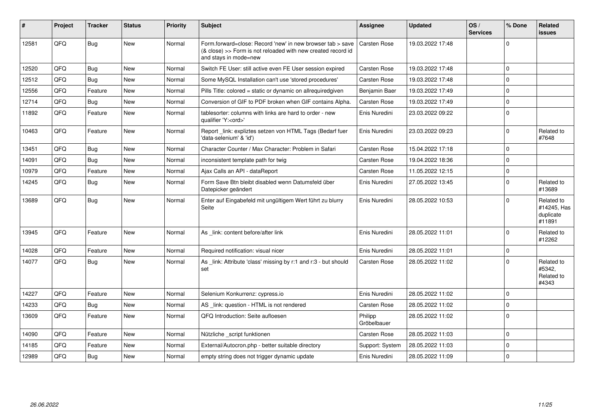| #     | Project | <b>Tracker</b> | <b>Status</b> | <b>Priority</b> | Subject                                                                                                                                             | <b>Assignee</b>        | <b>Updated</b>   | OS/<br><b>Services</b> | % Done         | Related<br>issues                                |
|-------|---------|----------------|---------------|-----------------|-----------------------------------------------------------------------------------------------------------------------------------------------------|------------------------|------------------|------------------------|----------------|--------------------------------------------------|
| 12581 | QFQ     | Bug            | <b>New</b>    | Normal          | Form.forward=close: Record 'new' in new browser tab > save<br>(& close) >> Form is not reloaded with new created record id<br>and stays in mode=new | Carsten Rose           | 19.03.2022 17:48 |                        | $\Omega$       |                                                  |
| 12520 | QFQ     | Bug            | <b>New</b>    | Normal          | Switch FE User: still active even FE User session expired                                                                                           | Carsten Rose           | 19.03.2022 17:48 |                        | 0              |                                                  |
| 12512 | QFQ     | Bug            | New           | Normal          | Some MySQL Installation can't use 'stored procedures'                                                                                               | Carsten Rose           | 19.03.2022 17:48 |                        | $\Omega$       |                                                  |
| 12556 | QFQ     | Feature        | <b>New</b>    | Normal          | Pills Title: colored = static or dynamic on allrequiredgiven                                                                                        | Benjamin Baer          | 19.03.2022 17:49 |                        | $\Omega$       |                                                  |
| 12714 | QFQ     | Bug            | New           | Normal          | Conversion of GIF to PDF broken when GIF contains Alpha.                                                                                            | Carsten Rose           | 19.03.2022 17:49 |                        | $\Omega$       |                                                  |
| 11892 | QFQ     | Feature        | <b>New</b>    | Normal          | tablesorter: columns with links are hard to order - new<br>qualifier 'Y: <ord>'</ord>                                                               | Enis Nuredini          | 23.03.2022 09:22 |                        | 0 I            |                                                  |
| 10463 | QFQ     | Feature        | <b>New</b>    | Normal          | Report _link: expliztes setzen von HTML Tags (Bedarf fuer<br>'data-selenium' & 'id')                                                                | Enis Nuredini          | 23.03.2022 09:23 |                        | $\overline{0}$ | Related to<br>#7648                              |
| 13451 | QFQ     | Bug            | <b>New</b>    | Normal          | Character Counter / Max Character: Problem in Safari                                                                                                | Carsten Rose           | 15.04.2022 17:18 |                        | $\overline{0}$ |                                                  |
| 14091 | QFQ     | Bug            | <b>New</b>    | Normal          | inconsistent template path for twig                                                                                                                 | Carsten Rose           | 19.04.2022 18:36 |                        | $\Omega$       |                                                  |
| 10979 | QFQ     | Feature        | New           | Normal          | Ajax Calls an API - dataReport                                                                                                                      | Carsten Rose           | 11.05.2022 12:15 |                        | $\mathbf 0$    |                                                  |
| 14245 | QFQ     | Bug            | New           | Normal          | Form Save Btn bleibt disabled wenn Datumsfeld über<br>Datepicker geändert                                                                           | Enis Nuredini          | 27.05.2022 13:45 |                        | $\Omega$       | Related to<br>#13689                             |
| 13689 | QFQ     | Bug            | <b>New</b>    | Normal          | Enter auf Eingabefeld mit ungültigem Wert führt zu blurry<br>Seite                                                                                  | Enis Nuredini          | 28.05.2022 10:53 |                        | $\Omega$       | Related to<br>#14245, Has<br>duplicate<br>#11891 |
| 13945 | QFQ     | Feature        | <b>New</b>    | Normal          | As _link: content before/after link                                                                                                                 | Enis Nuredini          | 28.05.2022 11:01 |                        | $\Omega$       | Related to<br>#12262                             |
| 14028 | QFQ     | Feature        | <b>New</b>    | Normal          | Required notification: visual nicer                                                                                                                 | Enis Nuredini          | 28.05.2022 11:01 |                        | $\Omega$       |                                                  |
| 14077 | QFQ     | Bug            | New           | Normal          | As _link: Attribute 'class' missing by r:1 and r:3 - but should<br>set                                                                              | Carsten Rose           | 28.05.2022 11:02 |                        | $\overline{0}$ | Related to<br>#5342,<br>Related to<br>#4343      |
| 14227 | QFQ     | Feature        | <b>New</b>    | Normal          | Selenium Konkurrenz: cypress.io                                                                                                                     | Enis Nuredini          | 28.05.2022 11:02 |                        | 0              |                                                  |
| 14233 | QFQ     | Bug            | <b>New</b>    | Normal          | AS _link: question - HTML is not rendered                                                                                                           | Carsten Rose           | 28.05.2022 11:02 |                        | $\overline{0}$ |                                                  |
| 13609 | QFQ     | Feature        | <b>New</b>    | Normal          | QFQ Introduction: Seite aufloesen                                                                                                                   | Philipp<br>Gröbelbauer | 28.05.2022 11:02 |                        | $\Omega$       |                                                  |
| 14090 | QFQ     | Feature        | <b>New</b>    | Normal          | Nützliche _script funktionen                                                                                                                        | Carsten Rose           | 28.05.2022 11:03 |                        | $\mathbf 0$    |                                                  |
| 14185 | QFQ     | Feature        | New           | Normal          | External/Autocron.php - better suitable directory                                                                                                   | Support: System        | 28.05.2022 11:03 |                        | $\mathbf 0$    |                                                  |
| 12989 | QFQ     | Bug            | New           | Normal          | empty string does not trigger dynamic update                                                                                                        | Enis Nuredini          | 28.05.2022 11:09 |                        | $\Omega$       |                                                  |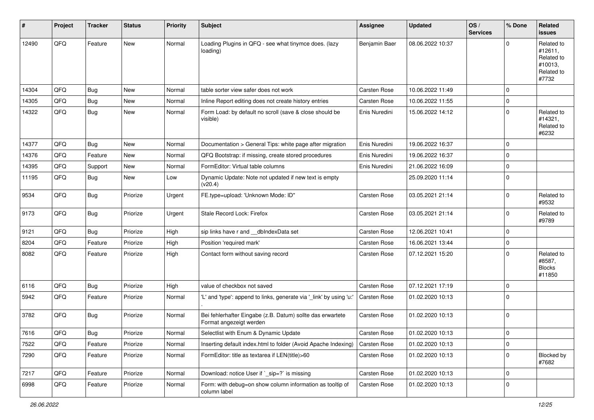| $\sharp$ | Project | <b>Tracker</b> | <b>Status</b> | <b>Priority</b> | <b>Subject</b>                                                                        | <b>Assignee</b>     | <b>Updated</b>   | OS/<br><b>Services</b> | % Done      | Related<br><b>issues</b>                                              |
|----------|---------|----------------|---------------|-----------------|---------------------------------------------------------------------------------------|---------------------|------------------|------------------------|-------------|-----------------------------------------------------------------------|
| 12490    | QFQ     | Feature        | <b>New</b>    | Normal          | Loading Plugins in QFQ - see what tinymce does. (lazy<br>loading)                     | Benjamin Baer       | 08.06.2022 10:37 |                        | $\Omega$    | Related to<br>#12611,<br>Related to<br>#10013,<br>Related to<br>#7732 |
| 14304    | QFQ     | Bug            | <b>New</b>    | Normal          | table sorter view safer does not work                                                 | <b>Carsten Rose</b> | 10.06.2022 11:49 |                        | $\mathbf 0$ |                                                                       |
| 14305    | QFQ     | Bug            | New           | Normal          | Inline Report editing does not create history entries                                 | Carsten Rose        | 10.06.2022 11:55 |                        | $\mathbf 0$ |                                                                       |
| 14322    | QFQ     | Bug            | New           | Normal          | Form Load: by default no scroll (save & close should be<br>visible)                   | Enis Nuredini       | 15.06.2022 14:12 |                        | $\mathbf 0$ | Related to<br>#14321,<br>Related to<br>#6232                          |
| 14377    | QFQ     | Bug            | <b>New</b>    | Normal          | Documentation > General Tips: white page after migration                              | Enis Nuredini       | 19.06.2022 16:37 |                        | $\mathbf 0$ |                                                                       |
| 14376    | QFQ     | Feature        | New           | Normal          | QFQ Bootstrap: if missing, create stored procedures                                   | Enis Nuredini       | 19.06.2022 16:37 |                        | $\mathbf 0$ |                                                                       |
| 14395    | QFQ     | Support        | <b>New</b>    | Normal          | FormEditor: Virtual table columns                                                     | Enis Nuredini       | 21.06.2022 16:09 |                        | $\mathbf 0$ |                                                                       |
| 11195    | QFQ     | Bug            | <b>New</b>    | Low             | Dynamic Update: Note not updated if new text is empty<br>(v20.4)                      |                     | 25.09.2020 11:14 |                        | $\mathbf 0$ |                                                                       |
| 9534     | QFQ     | Bug            | Priorize      | Urgent          | FE.type=upload: 'Unknown Mode: ID"                                                    | Carsten Rose        | 03.05.2021 21:14 |                        | $\Omega$    | Related to<br>#9532                                                   |
| 9173     | QFQ     | Bug            | Priorize      | Urgent          | Stale Record Lock: Firefox                                                            | Carsten Rose        | 03.05.2021 21:14 |                        | $\mathbf 0$ | Related to<br>#9789                                                   |
| 9121     | QFQ     | Bug            | Priorize      | High            | sip links have r and __dbIndexData set                                                | Carsten Rose        | 12.06.2021 10:41 |                        | $\Omega$    |                                                                       |
| 8204     | QFQ     | Feature        | Priorize      | High            | Position 'required mark'                                                              | Carsten Rose        | 16.06.2021 13:44 |                        | $\mathbf 0$ |                                                                       |
| 8082     | QFQ     | Feature        | Priorize      | High            | Contact form without saving record                                                    | Carsten Rose        | 07.12.2021 15:20 |                        | $\Omega$    | Related to<br>#8587,<br><b>Blocks</b><br>#11850                       |
| 6116     | QFQ     | Bug            | Priorize      | High            | value of checkbox not saved                                                           | Carsten Rose        | 07.12.2021 17:19 |                        | $\mathbf 0$ |                                                                       |
| 5942     | QFQ     | Feature        | Priorize      | Normal          | 'L' and 'type': append to links, generate via '_link' by using 'u:'                   | Carsten Rose        | 01.02.2020 10:13 |                        | $\mathbf 0$ |                                                                       |
| 3782     | QFQ     | Bug            | Priorize      | Normal          | Bei fehlerhafter Eingabe (z.B. Datum) sollte das erwartete<br>Format angezeigt werden | Carsten Rose        | 01.02.2020 10:13 |                        | $\mathbf 0$ |                                                                       |
| 7616     | QFQ     | Bug            | Priorize      | Normal          | Selectlist with Enum & Dynamic Update                                                 | Carsten Rose        | 01.02.2020 10:13 |                        | $\Omega$    |                                                                       |
| 7522     | QFQ     | Feature        | Priorize      | Normal          | Inserting default index.html to folder (Avoid Apache Indexing)                        | Carsten Rose        | 01.02.2020 10:13 |                        | $\mathbf 0$ |                                                                       |
| 7290     | QFQ     | Feature        | Priorize      | Normal          | FormEditor: title as textarea if LEN(title)>60                                        | Carsten Rose        | 01.02.2020 10:13 |                        | $\mathbf 0$ | Blocked by<br>#7682                                                   |
| 7217     | QFQ     | Feature        | Priorize      | Normal          | Download: notice User if `_sip=?` is missing                                          | Carsten Rose        | 01.02.2020 10:13 |                        | $\mathbf 0$ |                                                                       |
| 6998     | QFQ     | Feature        | Priorize      | Normal          | Form: with debug=on show column information as tooltip of<br>column label             | Carsten Rose        | 01.02.2020 10:13 |                        | 0           |                                                                       |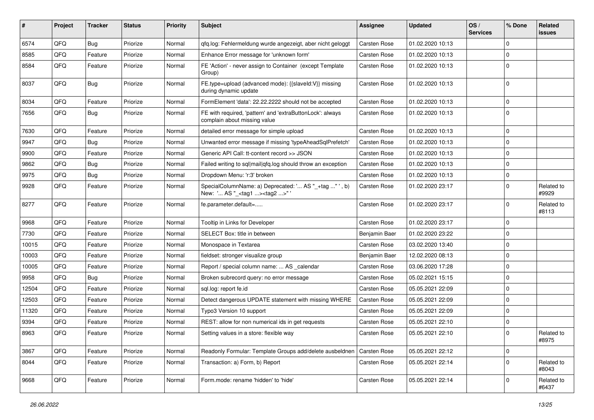| ∦     | Project | <b>Tracker</b> | <b>Status</b> | <b>Priority</b> | Subject                                                                                            | <b>Assignee</b> | <b>Updated</b>   | OS/<br><b>Services</b> | % Done      | Related<br>issues   |
|-------|---------|----------------|---------------|-----------------|----------------------------------------------------------------------------------------------------|-----------------|------------------|------------------------|-------------|---------------------|
| 6574  | QFQ     | Bug            | Priorize      | Normal          | qfq.log: Fehlermeldung wurde angezeigt, aber nicht geloggt                                         | Carsten Rose    | 01.02.2020 10:13 |                        | $\Omega$    |                     |
| 8585  | QFQ     | Feature        | Priorize      | Normal          | Enhance Error message for 'unknown form'                                                           | Carsten Rose    | 01.02.2020 10:13 |                        | 0           |                     |
| 8584  | QFQ     | Feature        | Priorize      | Normal          | FE 'Action' - never assign to Container (except Template<br>Group)                                 | Carsten Rose    | 01.02.2020 10:13 |                        | $\Omega$    |                     |
| 8037  | QFQ     | <b>Bug</b>     | Priorize      | Normal          | FE.type=upload (advanced mode): {{slaveld:V}} missing<br>during dynamic update                     | Carsten Rose    | 01.02.2020 10:13 |                        | $\Omega$    |                     |
| 8034  | QFQ     | Feature        | Priorize      | Normal          | FormElement 'data': 22.22.2222 should not be accepted                                              | Carsten Rose    | 01.02.2020 10:13 |                        | $\mathbf 0$ |                     |
| 7656  | QFQ     | Bug            | Priorize      | Normal          | FE with required, 'pattern' and 'extraButtonLock': always<br>complain about missing value          | Carsten Rose    | 01.02.2020 10:13 |                        | $\Omega$    |                     |
| 7630  | QFQ     | Feature        | Priorize      | Normal          | detailed error message for simple upload                                                           | Carsten Rose    | 01.02.2020 10:13 |                        | $\mathbf 0$ |                     |
| 9947  | QFQ     | <b>Bug</b>     | Priorize      | Normal          | Unwanted error message if missing 'typeAheadSqlPrefetch'                                           | Carsten Rose    | 01.02.2020 10:13 |                        | 0           |                     |
| 9900  | QFQ     | Feature        | Priorize      | Normal          | Generic API Call: tt-content record >> JSON                                                        | Carsten Rose    | 01.02.2020 10:13 |                        | $\mathbf 0$ |                     |
| 9862  | QFQ     | Bug            | Priorize      | Normal          | Failed writing to sql mail qfq.log should throw an exception                                       | Carsten Rose    | 01.02.2020 10:13 |                        | 0           |                     |
| 9975  | QFQ     | Bug            | Priorize      | Normal          | Dropdown Menu: 'r:3' broken                                                                        | Carsten Rose    | 01.02.2020 10:13 |                        | $\mathbf 0$ |                     |
| 9928  | QFQ     | Feature        | Priorize      | Normal          | SpecialColumnName: a) Deprecated: ' AS "_+tag " ', b)<br>New: ' AS "_ <tag1><tag2>"'</tag2></tag1> | Carsten Rose    | 01.02.2020 23:17 |                        | $\mathbf 0$ | Related to<br>#9929 |
| 8277  | QFQ     | Feature        | Priorize      | Normal          | fe.parameter.default=                                                                              | Carsten Rose    | 01.02.2020 23:17 |                        | $\mathbf 0$ | Related to<br>#8113 |
| 9968  | QFQ     | Feature        | Priorize      | Normal          | Tooltip in Links for Developer                                                                     | Carsten Rose    | 01.02.2020 23:17 |                        | $\mathbf 0$ |                     |
| 7730  | QFQ     | Feature        | Priorize      | Normal          | SELECT Box: title in between                                                                       | Benjamin Baer   | 01.02.2020 23:22 |                        | 0           |                     |
| 10015 | QFQ     | Feature        | Priorize      | Normal          | Monospace in Textarea                                                                              | Carsten Rose    | 03.02.2020 13:40 |                        | 0           |                     |
| 10003 | QFQ     | Feature        | Priorize      | Normal          | fieldset: stronger visualize group                                                                 | Benjamin Baer   | 12.02.2020 08:13 |                        | $\mathbf 0$ |                     |
| 10005 | QFQ     | Feature        | Priorize      | Normal          | Report / special column name:  AS _calendar                                                        | Carsten Rose    | 03.06.2020 17:28 |                        | $\mathbf 0$ |                     |
| 9958  | QFQ     | Bug            | Priorize      | Normal          | Broken subrecord query: no error message                                                           | Carsten Rose    | 05.02.2021 15:15 |                        | $\Omega$    |                     |
| 12504 | QFQ     | Feature        | Priorize      | Normal          | sql.log: report fe.id                                                                              | Carsten Rose    | 05.05.2021 22:09 |                        | 0           |                     |
| 12503 | QFQ     | Feature        | Priorize      | Normal          | Detect dangerous UPDATE statement with missing WHERE                                               | Carsten Rose    | 05.05.2021 22:09 |                        | $\Omega$    |                     |
| 11320 | QFQ     | Feature        | Priorize      | Normal          | Typo3 Version 10 support                                                                           | Carsten Rose    | 05.05.2021 22:09 |                        | $\mathbf 0$ |                     |
| 9394  | QFQ     | Feature        | Priorize      | Normal          | REST: allow for non numerical ids in get requests                                                  | Carsten Rose    | 05.05.2021 22:10 |                        | $\mathbf 0$ |                     |
| 8963  | QFQ     | Feature        | Priorize      | Normal          | Setting values in a store: flexible way                                                            | Carsten Rose    | 05.05.2021 22:10 |                        | $\Omega$    | Related to<br>#8975 |
| 3867  | QFQ     | Feature        | Priorize      | Normal          | Readonly Formular: Template Groups add/delete ausbeldnen                                           | Carsten Rose    | 05.05.2021 22:12 |                        | $\mathbf 0$ |                     |
| 8044  | QFQ     | Feature        | Priorize      | Normal          | Transaction: a) Form, b) Report                                                                    | Carsten Rose    | 05.05.2021 22:14 |                        | $\Omega$    | Related to<br>#8043 |
| 9668  | QFQ     | Feature        | Priorize      | Normal          | Form.mode: rename 'hidden' to 'hide'                                                               | Carsten Rose    | 05.05.2021 22:14 |                        | 0           | Related to<br>#6437 |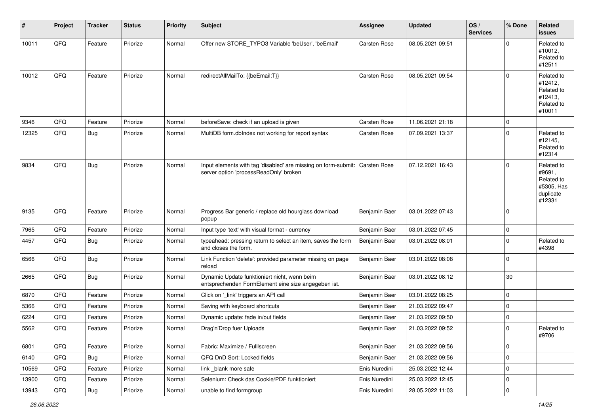| #     | Project | <b>Tracker</b> | <b>Status</b> | <b>Priority</b> | <b>Subject</b>                                                                                           | <b>Assignee</b>     | <b>Updated</b>   | OS/<br><b>Services</b> | % Done              | Related<br><b>issues</b>                                                |
|-------|---------|----------------|---------------|-----------------|----------------------------------------------------------------------------------------------------------|---------------------|------------------|------------------------|---------------------|-------------------------------------------------------------------------|
| 10011 | QFQ     | Feature        | Priorize      | Normal          | Offer new STORE_TYPO3 Variable 'beUser', 'beEmail'                                                       | Carsten Rose        | 08.05.2021 09:51 |                        | $\Omega$            | Related to<br>#10012,<br>Related to<br>#12511                           |
| 10012 | QFQ     | Feature        | Priorize      | Normal          | redirectAllMailTo: {{beEmail:T}}                                                                         | <b>Carsten Rose</b> | 08.05.2021 09:54 |                        | $\mathbf 0$         | Related to<br>#12412,<br>Related to<br>#12413,<br>Related to<br>#10011  |
| 9346  | QFQ     | Feature        | Priorize      | Normal          | beforeSave: check if an upload is given                                                                  | Carsten Rose        | 11.06.2021 21:18 |                        | $\mathbf 0$         |                                                                         |
| 12325 | QFQ     | Bug            | Priorize      | Normal          | MultiDB form.dblndex not working for report syntax                                                       | Carsten Rose        | 07.09.2021 13:37 |                        | $\mathbf 0$         | Related to<br>#12145,<br>Related to<br>#12314                           |
| 9834  | QFQ     | Bug            | Priorize      | Normal          | Input elements with tag 'disabled' are missing on form-submit:<br>server option 'processReadOnly' broken | <b>Carsten Rose</b> | 07.12.2021 16:43 |                        | $\mathbf 0$         | Related to<br>#9691,<br>Related to<br>#5305, Has<br>duplicate<br>#12331 |
| 9135  | QFQ     | Feature        | Priorize      | Normal          | Progress Bar generic / replace old hourglass download<br>popup                                           | Benjamin Baer       | 03.01.2022 07:43 |                        | $\mathbf 0$         |                                                                         |
| 7965  | QFQ     | Feature        | Priorize      | Normal          | Input type 'text' with visual format - currency                                                          | Benjamin Baer       | 03.01.2022 07:45 |                        | $\mathbf 0$         |                                                                         |
| 4457  | QFQ     | Bug            | Priorize      | Normal          | typeahead: pressing return to select an item, saves the form<br>and closes the form.                     | Benjamin Baer       | 03.01.2022 08:01 |                        | $\mathbf 0$         | Related to<br>#4398                                                     |
| 6566  | QFQ     | <b>Bug</b>     | Priorize      | Normal          | Link Function 'delete': provided parameter missing on page<br>reload                                     | Benjamin Baer       | 03.01.2022 08:08 |                        | $\mathbf 0$         |                                                                         |
| 2665  | QFQ     | <b>Bug</b>     | Priorize      | Normal          | Dynamic Update funktioniert nicht, wenn beim<br>entsprechenden FormElement eine size angegeben ist.      | Benjamin Baer       | 03.01.2022 08:12 |                        | 30                  |                                                                         |
| 6870  | QFQ     | Feature        | Priorize      | Normal          | Click on '_link' triggers an API call                                                                    | Benjamin Baer       | 03.01.2022 08:25 |                        | $\mathbf 0$         |                                                                         |
| 5366  | QFQ     | Feature        | Priorize      | Normal          | Saving with keyboard shortcuts                                                                           | Benjamin Baer       | 21.03.2022 09:47 |                        | $\mathbf 0$         |                                                                         |
| 6224  | QFQ     | Feature        | Priorize      | Normal          | Dynamic update: fade in/out fields                                                                       | Benjamin Baer       | 21.03.2022 09:50 |                        | $\mathbf 0$         |                                                                         |
| 5562  | QFQ     | Feature        | Priorize      | Normal          | Drag'n'Drop fuer Uploads                                                                                 | Benjamin Baer       | 21.03.2022 09:52 |                        | $\mathbf 0$         | Related to<br>#9706                                                     |
| 6801  | QFQ     | Feature        | Priorize      | Normal          | Fabric: Maximize / FullIscreen                                                                           | Benjamin Baer       | 21.03.2022 09:56 |                        | $\mathbf 0$         |                                                                         |
| 6140  | QFQ     | <b>Bug</b>     | Priorize      | Normal          | QFQ DnD Sort: Locked fields                                                                              | Benjamin Baer       | 21.03.2022 09:56 |                        | $\mathsf{O}\xspace$ |                                                                         |
| 10569 | QFQ     | Feature        | Priorize      | Normal          | link blank more safe                                                                                     | Enis Nuredini       | 25.03.2022 12:44 |                        | 0                   |                                                                         |
| 13900 | QFQ     | Feature        | Priorize      | Normal          | Selenium: Check das Cookie/PDF funktioniert                                                              | Enis Nuredini       | 25.03.2022 12:45 |                        | $\mathbf 0$         |                                                                         |
| 13943 | QFO     | Bug            | Priorize      | Normal          | unable to find formgroup                                                                                 | Enis Nuredini       | 28.05.2022 11:03 |                        | $\mathbf 0$         |                                                                         |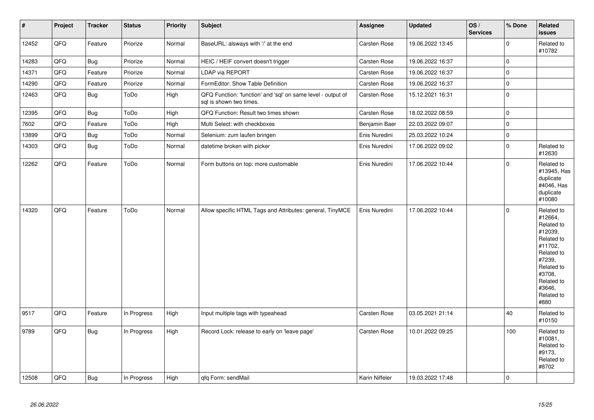| $\vert$ # | Project | <b>Tracker</b> | <b>Status</b> | <b>Priority</b> | <b>Subject</b>                                                                          | <b>Assignee</b> | <b>Updated</b>   | OS/<br><b>Services</b> | % Done      | Related<br><b>issues</b>                                                                                                                                              |
|-----------|---------|----------------|---------------|-----------------|-----------------------------------------------------------------------------------------|-----------------|------------------|------------------------|-------------|-----------------------------------------------------------------------------------------------------------------------------------------------------------------------|
| 12452     | QFQ     | Feature        | Priorize      | Normal          | BaseURL: alsways with '/' at the end                                                    | Carsten Rose    | 19.06.2022 13:45 |                        | $\mathbf 0$ | Related to<br>#10782                                                                                                                                                  |
| 14283     | QFQ     | Bug            | Priorize      | Normal          | HEIC / HEIF convert doesn't trigger                                                     | Carsten Rose    | 19.06.2022 16:37 |                        | $\mathbf 0$ |                                                                                                                                                                       |
| 14371     | QFQ     | Feature        | Priorize      | Normal          | LDAP via REPORT                                                                         | Carsten Rose    | 19.06.2022 16:37 |                        | $\mathbf 0$ |                                                                                                                                                                       |
| 14290     | QFQ     | Feature        | Priorize      | Normal          | FormEditor: Show Table Definition                                                       | Carsten Rose    | 19.06.2022 16:37 |                        | 0           |                                                                                                                                                                       |
| 12463     | QFQ     | <b>Bug</b>     | ToDo          | High            | QFQ Function: 'function' and 'sql' on same level - output of<br>sql is shown two times. | Carsten Rose    | 15.12.2021 16:31 |                        | $\mathbf 0$ |                                                                                                                                                                       |
| 12395     | QFQ     | <b>Bug</b>     | ToDo          | High            | QFQ Function: Result two times shown                                                    | Carsten Rose    | 18.02.2022 08:59 |                        | 0           |                                                                                                                                                                       |
| 7602      | QFQ     | Feature        | ToDo          | High            | Multi Select: with checkboxes                                                           | Benjamin Baer   | 22.03.2022 09:07 |                        | $\mathbf 0$ |                                                                                                                                                                       |
| 13899     | QFQ     | <b>Bug</b>     | ToDo          | Normal          | Selenium: zum laufen bringen                                                            | Enis Nuredini   | 25.03.2022 10:24 |                        | $\mathbf 0$ |                                                                                                                                                                       |
| 14303     | QFQ     | <b>Bug</b>     | ToDo          | Normal          | datetime broken with picker                                                             | Enis Nuredini   | 17.06.2022 09:02 |                        | $\mathbf 0$ | Related to<br>#12630                                                                                                                                                  |
| 12262     | QFQ     | Feature        | ToDo          | Normal          | Form buttons on top: more customable                                                    | Enis Nuredini   | 17.06.2022 10:44 |                        | $\Omega$    | Related to<br>#13945, Has<br>duplicate<br>#4046, Has<br>duplicate<br>#10080                                                                                           |
| 14320     | QFQ     | Feature        | ToDo          | Normal          | Allow specific HTML Tags and Attributes: general, TinyMCE                               | Enis Nuredini   | 17.06.2022 10:44 |                        | $\mathbf 0$ | Related to<br>#12664,<br>Related to<br>#12039,<br>Related to<br>#11702,<br>Related to<br>#7239,<br>Related to<br>#3708,<br>Related to<br>#3646,<br>Related to<br>#880 |
| 9517      | QFQ     | Feature        | In Progress   | High            | Input multiple tags with typeahead                                                      | Carsten Rose    | 03.05.2021 21:14 |                        | 40          | Related to<br>#10150                                                                                                                                                  |
| 9789      | QFQ     | <b>Bug</b>     | In Progress   | High            | Record Lock: release to early on 'leave page'                                           | Carsten Rose    | 10.01.2022 09:25 |                        | 100         | Related to<br>#10081,<br>Related to<br>#9173,<br>Related to<br>#8702                                                                                                  |
| 12508     | QFQ     | <b>Bug</b>     | In Progress   | High            | gfg Form: sendMail                                                                      | Karin Niffeler  | 19.03.2022 17:48 |                        | $\mathbf 0$ |                                                                                                                                                                       |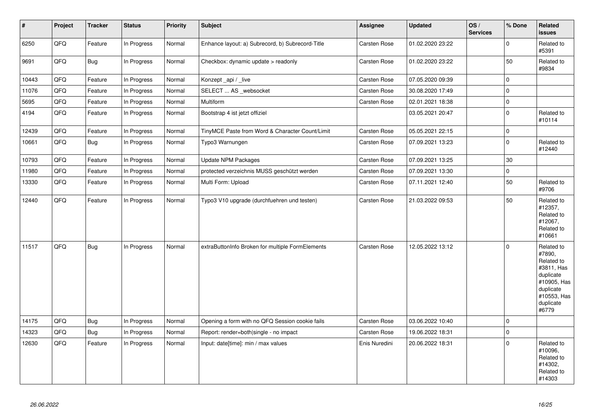| $\pmb{\#}$ | Project | <b>Tracker</b> | <b>Status</b> | <b>Priority</b> | <b>Subject</b>                                   | <b>Assignee</b>     | <b>Updated</b>   | OS/<br><b>Services</b> | % Done              | Related<br><b>issues</b>                                                                                                       |
|------------|---------|----------------|---------------|-----------------|--------------------------------------------------|---------------------|------------------|------------------------|---------------------|--------------------------------------------------------------------------------------------------------------------------------|
| 6250       | QFQ     | Feature        | In Progress   | Normal          | Enhance layout: a) Subrecord, b) Subrecord-Title | Carsten Rose        | 01.02.2020 23:22 |                        | $\Omega$            | Related to<br>#5391                                                                                                            |
| 9691       | QFQ     | Bug            | In Progress   | Normal          | Checkbox: dynamic update > readonly              | Carsten Rose        | 01.02.2020 23:22 |                        | 50                  | Related to<br>#9834                                                                                                            |
| 10443      | QFQ     | Feature        | In Progress   | Normal          | Konzept _api / _live                             | Carsten Rose        | 07.05.2020 09:39 |                        | $\mathbf 0$         |                                                                                                                                |
| 11076      | QFQ     | Feature        | In Progress   | Normal          | SELECT  AS _websocket                            | Carsten Rose        | 30.08.2020 17:49 |                        | $\mathbf 0$         |                                                                                                                                |
| 5695       | QFQ     | Feature        | In Progress   | Normal          | Multiform                                        | <b>Carsten Rose</b> | 02.01.2021 18:38 |                        | 0                   |                                                                                                                                |
| 4194       | QFQ     | Feature        | In Progress   | Normal          | Bootstrap 4 ist jetzt offiziel                   |                     | 03.05.2021 20:47 |                        | $\Omega$            | Related to<br>#10114                                                                                                           |
| 12439      | QFQ     | Feature        | In Progress   | Normal          | TinyMCE Paste from Word & Character Count/Limit  | Carsten Rose        | 05.05.2021 22:15 |                        | $\mathbf 0$         |                                                                                                                                |
| 10661      | QFQ     | Bug            | In Progress   | Normal          | Typo3 Warnungen                                  | Carsten Rose        | 07.09.2021 13:23 |                        | $\mathbf 0$         | Related to<br>#12440                                                                                                           |
| 10793      | QFQ     | Feature        | In Progress   | Normal          | <b>Update NPM Packages</b>                       | Carsten Rose        | 07.09.2021 13:25 |                        | 30                  |                                                                                                                                |
| 11980      | QFQ     | Feature        | In Progress   | Normal          | protected verzeichnis MUSS geschützt werden      | Carsten Rose        | 07.09.2021 13:30 |                        | $\mathsf{O}\xspace$ |                                                                                                                                |
| 13330      | QFQ     | Feature        | In Progress   | Normal          | Multi Form: Upload                               | Carsten Rose        | 07.11.2021 12:40 |                        | 50                  | Related to<br>#9706                                                                                                            |
| 12440      | QFQ     | Feature        | In Progress   | Normal          | Typo3 V10 upgrade (durchfuehren und testen)      | Carsten Rose        | 21.03.2022 09:53 |                        | 50                  | Related to<br>#12357,<br>Related to<br>#12067,<br>Related to<br>#10661                                                         |
| 11517      | QFQ     | <b>Bug</b>     | In Progress   | Normal          | extraButtonInfo Broken for multiple FormElements | Carsten Rose        | 12.05.2022 13:12 |                        | $\Omega$            | Related to<br>#7890,<br>Related to<br>#3811, Has<br>duplicate<br>#10905, Has<br>duplicate<br>#10553, Has<br>duplicate<br>#6779 |
| 14175      | QFQ     | <b>Bug</b>     | In Progress   | Normal          | Opening a form with no QFQ Session cookie fails  | Carsten Rose        | 03.06.2022 10:40 |                        | 0                   |                                                                                                                                |
| 14323      | QFQ     | <b>Bug</b>     | In Progress   | Normal          | Report: render=both single - no impact           | Carsten Rose        | 19.06.2022 18:31 |                        | 0                   |                                                                                                                                |
| 12630      | QFQ     | Feature        | In Progress   | Normal          | Input: date[time]: min / max values              | Enis Nuredini       | 20.06.2022 18:31 |                        | $\Omega$            | Related to<br>#10096,<br>Related to<br>#14302.<br>Related to<br>#14303                                                         |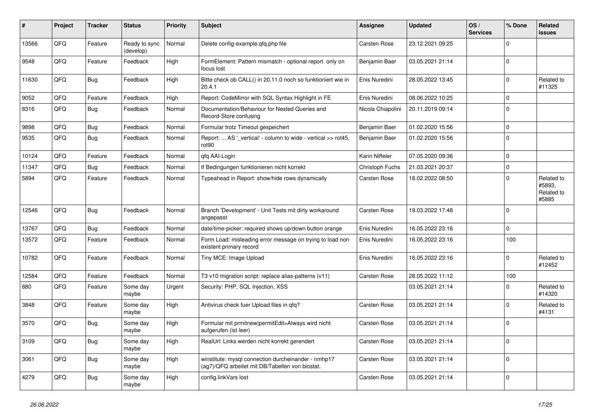| ∦     | Project | <b>Tracker</b> | <b>Status</b>              | <b>Priority</b> | <b>Subject</b>                                                                                         | <b>Assignee</b>   | <b>Updated</b>   | OS/<br><b>Services</b> | % Done      | Related<br><b>issues</b>                    |
|-------|---------|----------------|----------------------------|-----------------|--------------------------------------------------------------------------------------------------------|-------------------|------------------|------------------------|-------------|---------------------------------------------|
| 13566 | QFQ     | Feature        | Ready to sync<br>(develop) | Normal          | Delete config-example.qfq.php file                                                                     | Carsten Rose      | 23.12.2021 09:25 |                        | $\Omega$    |                                             |
| 9548  | QFQ     | Feature        | Feedback                   | High            | FormElement: Pattern mismatch - optional report only on<br>focus lost                                  | Benjamin Baer     | 03.05.2021 21:14 |                        | $\mathbf 0$ |                                             |
| 11630 | QFQ     | <b>Bug</b>     | Feedback                   | High            | Bitte check ob CALL() in 20.11.0 noch so funktioniert wie in<br>20.4.1                                 | Enis Nuredini     | 28.05.2022 13:45 |                        | $\Omega$    | Related to<br>#11325                        |
| 9052  | QFQ     | Feature        | Feedback                   | High            | Report: CodeMirror with SQL Syntax Highlight in FE                                                     | Enis Nuredini     | 08.06.2022 10:25 |                        | $\Omega$    |                                             |
| 8316  | QFQ     | <b>Bug</b>     | Feedback                   | Normal          | Documentation/Behaviour for Nested Queries and<br>Record-Store confusing                               | Nicola Chiapolini | 20.11.2019 09:14 |                        | $\Omega$    |                                             |
| 9898  | QFQ     | <b>Bug</b>     | Feedback                   | Normal          | Formular trotz Timeout gespeichert                                                                     | Benjamin Baer     | 01.02.2020 15:56 |                        | $\mathbf 0$ |                                             |
| 9535  | QFQ     | Bug            | Feedback                   | Normal          | Report:  AS ' vertical' - column to wide - vertical >> rot45,<br>rot90                                 | Benjamin Baer     | 01.02.2020 15:56 |                        | $\Omega$    |                                             |
| 10124 | QFQ     | Feature        | Feedback                   | Normal          | qfq AAI-Login                                                                                          | Karin Niffeler    | 07.05.2020 09:36 |                        | $\mathbf 0$ |                                             |
| 11347 | QFQ     | Bug            | Feedback                   | Normal          | If Bedingungen funktionieren nicht korrekt                                                             | Christoph Fuchs   | 21.03.2021 20:37 |                        | $\mathbf 0$ |                                             |
| 5894  | QFQ     | Feature        | Feedback                   | Normal          | Typeahead in Report: show/hide rows dynamically                                                        | Carsten Rose      | 18.02.2022 08:50 |                        | $\Omega$    | Related to<br>#5893.<br>Related to<br>#5885 |
| 12546 | QFQ     | <b>Bug</b>     | Feedback                   | Normal          | Branch 'Development' - Unit Tests mit dirty workaround<br>angepasst                                    | Carsten Rose      | 19.03.2022 17:48 |                        | $\Omega$    |                                             |
| 13767 | QFQ     | <b>Bug</b>     | Feedback                   | Normal          | date/time-picker: required shows up/down button orange                                                 | Enis Nuredini     | 16.05.2022 23:16 |                        | $\mathbf 0$ |                                             |
| 13572 | QFQ     | Feature        | Feedback                   | Normal          | Form Load: misleading error message on trying to load non<br>existent primary record                   | Enis Nuredini     | 16.05.2022 23:16 |                        | 100         |                                             |
| 10782 | QFQ     | Feature        | Feedback                   | Normal          | Tiny MCE: Image Upload                                                                                 | Enis Nuredini     | 16.05.2022 23:16 |                        | $\Omega$    | Related to<br>#12452                        |
| 12584 | QFQ     | Feature        | Feedback                   | Normal          | T3 v10 migration script: replace alias-patterns (v11)                                                  | Carsten Rose      | 28.05.2022 11:12 |                        | 100         |                                             |
| 880   | QFQ     | Feature        | Some day<br>maybe          | Urgent          | Security: PHP, SQL Injection, XSS                                                                      |                   | 03.05.2021 21:14 |                        | $\Omega$    | Related to<br>#14320                        |
| 3848  | QFQ     | Feature        | Some day<br>maybe          | High            | Antivirus check fuer Upload files in qfq?                                                              | Carsten Rose      | 03.05.2021 21:14 |                        | $\Omega$    | Related to<br>#4131                         |
| 3570  | QFQ     | Bug            | Some day<br>maybe          | High            | Formular mit prmitnew permitEdit=Always wird nicht<br>aufgerufen (ist leer)                            | Carsten Rose      | 03.05.2021 21:14 |                        | $\Omega$    |                                             |
| 3109  | QFQ     | <b>Bug</b>     | Some day<br>maybe          | High            | RealUrl: Links werden nicht korrekt gerendert                                                          | Carsten Rose      | 03.05.2021 21:14 |                        | $\Omega$    |                                             |
| 3061  | QFQ     | <b>Bug</b>     | Some day<br>maybe          | High            | winstitute: mysql connection durcheinander - nmhp17<br>(ag7)/QFQ arbeitet mit DB/Tabellen von biostat. | Carsten Rose      | 03.05.2021 21:14 |                        | $\mathbf 0$ |                                             |
| 4279  | QFQ     | <b>Bug</b>     | Some day<br>maybe          | High            | config.linkVars lost                                                                                   | Carsten Rose      | 03.05.2021 21:14 |                        | $\Omega$    |                                             |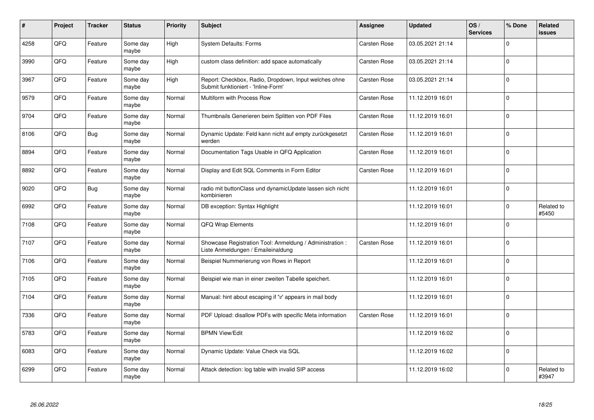| $\#$ | Project | <b>Tracker</b> | <b>Status</b>     | <b>Priority</b> | <b>Subject</b>                                                                                 | <b>Assignee</b> | <b>Updated</b>   | OS/<br><b>Services</b> | % Done      | Related<br><b>issues</b> |
|------|---------|----------------|-------------------|-----------------|------------------------------------------------------------------------------------------------|-----------------|------------------|------------------------|-------------|--------------------------|
| 4258 | QFQ     | Feature        | Some day<br>maybe | High            | <b>System Defaults: Forms</b>                                                                  | Carsten Rose    | 03.05.2021 21:14 |                        | $\Omega$    |                          |
| 3990 | QFQ     | Feature        | Some day<br>maybe | High            | custom class definition: add space automatically                                               | Carsten Rose    | 03.05.2021 21:14 |                        | $\Omega$    |                          |
| 3967 | QFQ     | Feature        | Some day<br>maybe | High            | Report: Checkbox, Radio, Dropdown, Input welches ohne<br>Submit funktioniert - 'Inline-Form'   | Carsten Rose    | 03.05.2021 21:14 |                        | $\Omega$    |                          |
| 9579 | QFQ     | Feature        | Some day<br>maybe | Normal          | Multiform with Process Row                                                                     | Carsten Rose    | 11.12.2019 16:01 |                        | $\Omega$    |                          |
| 9704 | QFQ     | Feature        | Some day<br>maybe | Normal          | Thumbnails Generieren beim Splitten von PDF Files                                              | Carsten Rose    | 11.12.2019 16:01 |                        | $\mathbf 0$ |                          |
| 8106 | QFQ     | Bug            | Some day<br>maybe | Normal          | Dynamic Update: Feld kann nicht auf empty zurückgesetzt<br>werden                              | Carsten Rose    | 11.12.2019 16:01 |                        | $\Omega$    |                          |
| 8894 | QFQ     | Feature        | Some dav<br>maybe | Normal          | Documentation Tags Usable in QFQ Application                                                   | Carsten Rose    | 11.12.2019 16:01 |                        | $\Omega$    |                          |
| 8892 | QFQ     | Feature        | Some day<br>maybe | Normal          | Display and Edit SQL Comments in Form Editor                                                   | Carsten Rose    | 11.12.2019 16:01 |                        | $\Omega$    |                          |
| 9020 | QFQ     | <b>Bug</b>     | Some day<br>maybe | Normal          | radio mit buttonClass und dynamicUpdate lassen sich nicht<br>kombinieren                       |                 | 11.12.2019 16:01 |                        | $\Omega$    |                          |
| 6992 | QFQ     | Feature        | Some day<br>maybe | Normal          | DB exception: Syntax Highlight                                                                 |                 | 11.12.2019 16:01 |                        | $\mathbf 0$ | Related to<br>#5450      |
| 7108 | QFQ     | Feature        | Some day<br>maybe | Normal          | QFQ Wrap Elements                                                                              |                 | 11.12.2019 16:01 |                        | $\Omega$    |                          |
| 7107 | QFQ     | Feature        | Some day<br>maybe | Normal          | Showcase Registration Tool: Anmeldung / Administration :<br>Liste Anmeldungen / Emaileinaldung | Carsten Rose    | 11.12.2019 16:01 |                        | $\Omega$    |                          |
| 7106 | QFQ     | Feature        | Some day<br>maybe | Normal          | Beispiel Nummerierung von Rows in Report                                                       |                 | 11.12.2019 16:01 |                        | $\Omega$    |                          |
| 7105 | QFQ     | Feature        | Some day<br>maybe | Normal          | Beispiel wie man in einer zweiten Tabelle speichert.                                           |                 | 11.12.2019 16:01 |                        | $\mathbf 0$ |                          |
| 7104 | QFQ     | Feature        | Some day<br>maybe | Normal          | Manual: hint about escaping if '\r' appears in mail body                                       |                 | 11.12.2019 16:01 |                        | $\Omega$    |                          |
| 7336 | QFQ     | Feature        | Some day<br>maybe | Normal          | PDF Upload: disallow PDFs with specific Meta information                                       | Carsten Rose    | 11.12.2019 16:01 |                        | $\Omega$    |                          |
| 5783 | QFQ     | Feature        | Some day<br>maybe | Normal          | <b>BPMN View/Edit</b>                                                                          |                 | 11.12.2019 16:02 |                        | $\Omega$    |                          |
| 6083 | QFQ     | Feature        | Some day<br>maybe | Normal          | Dynamic Update: Value Check via SQL                                                            |                 | 11.12.2019 16:02 |                        | $\Omega$    |                          |
| 6299 | QFQ     | Feature        | Some day<br>maybe | Normal          | Attack detection: log table with invalid SIP access                                            |                 | 11.12.2019 16:02 |                        | $\Omega$    | Related to<br>#3947      |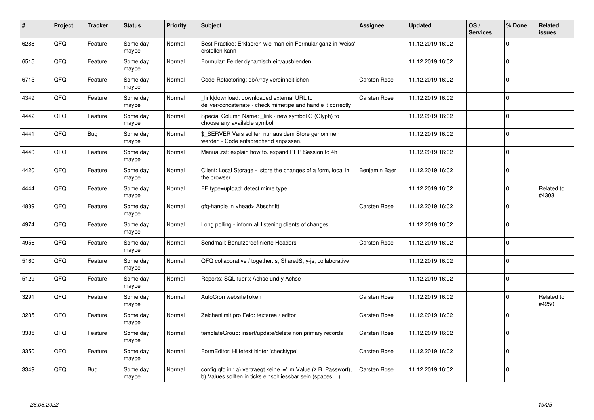| #    | Project | <b>Tracker</b> | <b>Status</b>     | <b>Priority</b> | <b>Subject</b>                                                                                                                | <b>Assignee</b> | <b>Updated</b>   | OS/<br><b>Services</b> | % Done      | Related<br><b>issues</b> |
|------|---------|----------------|-------------------|-----------------|-------------------------------------------------------------------------------------------------------------------------------|-----------------|------------------|------------------------|-------------|--------------------------|
| 6288 | QFQ     | Feature        | Some day<br>maybe | Normal          | Best Practice: Erklaeren wie man ein Formular ganz in 'weiss'<br>erstellen kann                                               |                 | 11.12.2019 16:02 |                        | $\Omega$    |                          |
| 6515 | QFQ     | Feature        | Some day<br>maybe | Normal          | Formular: Felder dynamisch ein/ausblenden                                                                                     |                 | 11.12.2019 16:02 |                        | $\Omega$    |                          |
| 6715 | QFQ     | Feature        | Some day<br>maybe | Normal          | Code-Refactoring: dbArray vereinheitlichen                                                                                    | Carsten Rose    | 11.12.2019 16:02 |                        | $\Omega$    |                          |
| 4349 | QFQ     | Feature        | Some day<br>maybe | Normal          | link download: downloaded external URL to<br>deliver/concatenate - check mimetipe and handle it correctly                     | Carsten Rose    | 11.12.2019 16:02 |                        | $\Omega$    |                          |
| 4442 | QFQ     | Feature        | Some day<br>maybe | Normal          | Special Column Name: _link - new symbol G (Glyph) to<br>choose any available symbol                                           |                 | 11.12.2019 16:02 |                        | $\mathbf 0$ |                          |
| 4441 | QFQ     | <b>Bug</b>     | Some day<br>maybe | Normal          | \$_SERVER Vars sollten nur aus dem Store genommen<br>werden - Code entsprechend anpassen.                                     |                 | 11.12.2019 16:02 |                        | $\Omega$    |                          |
| 4440 | QFQ     | Feature        | Some dav<br>maybe | Normal          | Manual.rst: explain how to. expand PHP Session to 4h                                                                          |                 | 11.12.2019 16:02 |                        | $\Omega$    |                          |
| 4420 | QFQ     | Feature        | Some day<br>maybe | Normal          | Client: Local Storage - store the changes of a form, local in<br>the browser.                                                 | Benjamin Baer   | 11.12.2019 16:02 |                        | $\Omega$    |                          |
| 4444 | QFQ     | Feature        | Some day<br>maybe | Normal          | FE.type=upload: detect mime type                                                                                              |                 | 11.12.2019 16:02 |                        | $\Omega$    | Related to<br>#4303      |
| 4839 | QFQ     | Feature        | Some day<br>maybe | Normal          | gfg-handle in <head> Abschnitt</head>                                                                                         | Carsten Rose    | 11.12.2019 16:02 |                        | $\Omega$    |                          |
| 4974 | QFQ     | Feature        | Some day<br>maybe | Normal          | Long polling - inform all listening clients of changes                                                                        |                 | 11.12.2019 16:02 |                        | $\Omega$    |                          |
| 4956 | QFQ     | Feature        | Some day<br>maybe | Normal          | Sendmail: Benutzerdefinierte Headers                                                                                          | Carsten Rose    | 11.12.2019 16:02 |                        | $\Omega$    |                          |
| 5160 | QFQ     | Feature        | Some day<br>maybe | Normal          | QFQ collaborative / together.js, ShareJS, y-js, collaborative,                                                                |                 | 11.12.2019 16:02 |                        | $\Omega$    |                          |
| 5129 | QFQ     | Feature        | Some day<br>maybe | Normal          | Reports: SQL fuer x Achse und y Achse                                                                                         |                 | 11.12.2019 16:02 |                        | $\mathbf 0$ |                          |
| 3291 | QFQ     | Feature        | Some day<br>maybe | Normal          | AutoCron websiteToken                                                                                                         | Carsten Rose    | 11.12.2019 16:02 |                        | $\Omega$    | Related to<br>#4250      |
| 3285 | QFQ     | Feature        | Some day<br>maybe | Normal          | Zeichenlimit pro Feld: textarea / editor                                                                                      | Carsten Rose    | 11.12.2019 16:02 |                        | $\Omega$    |                          |
| 3385 | QFQ     | Feature        | Some day<br>maybe | Normal          | templateGroup: insert/update/delete non primary records                                                                       | Carsten Rose    | 11.12.2019 16:02 |                        | $\Omega$    |                          |
| 3350 | QFQ     | Feature        | Some day<br>maybe | Normal          | FormEditor: Hilfetext hinter 'checktype'                                                                                      | Carsten Rose    | 11.12.2019 16:02 |                        | $\Omega$    |                          |
| 3349 | QFQ     | <b>Bug</b>     | Some day<br>maybe | Normal          | config.qfq.ini: a) vertraegt keine '=' im Value (z.B. Passwort),<br>b) Values sollten in ticks einschliessbar sein (spaces, ) | Carsten Rose    | 11.12.2019 16:02 |                        | $\Omega$    |                          |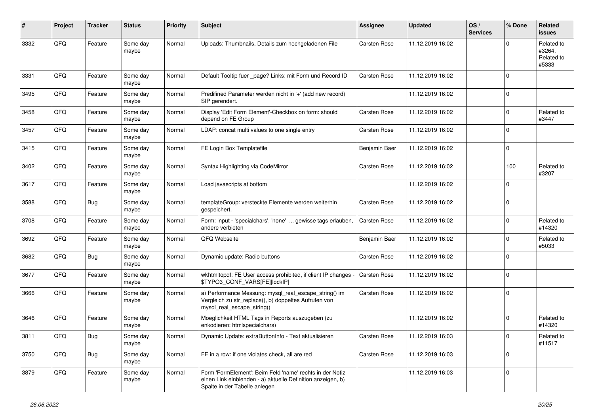| #    | Project        | <b>Tracker</b> | <b>Status</b>     | <b>Priority</b> | <b>Subject</b>                                                                                                                                           | <b>Assignee</b>     | <b>Updated</b>   | OS/<br><b>Services</b> | % Done      | Related<br><b>issues</b>                    |
|------|----------------|----------------|-------------------|-----------------|----------------------------------------------------------------------------------------------------------------------------------------------------------|---------------------|------------------|------------------------|-------------|---------------------------------------------|
| 3332 | QFQ            | Feature        | Some day<br>maybe | Normal          | Uploads: Thumbnails, Details zum hochgeladenen File                                                                                                      | Carsten Rose        | 11.12.2019 16:02 |                        | $\Omega$    | Related to<br>#3264,<br>Related to<br>#5333 |
| 3331 | QFQ            | Feature        | Some day<br>maybe | Normal          | Default Tooltip fuer _page? Links: mit Form und Record ID                                                                                                | Carsten Rose        | 11.12.2019 16:02 |                        | $\Omega$    |                                             |
| 3495 | QFQ            | Feature        | Some day<br>maybe | Normal          | Predifined Parameter werden nicht in '+' (add new record)<br>SIP gerendert.                                                                              |                     | 11.12.2019 16:02 |                        | $\mathbf 0$ |                                             |
| 3458 | QFQ            | Feature        | Some day<br>maybe | Normal          | Display 'Edit Form Element'-Checkbox on form: should<br>depend on FE Group                                                                               | <b>Carsten Rose</b> | 11.12.2019 16:02 |                        | $\Omega$    | Related to<br>#3447                         |
| 3457 | QFQ            | Feature        | Some day<br>maybe | Normal          | LDAP: concat multi values to one single entry                                                                                                            | Carsten Rose        | 11.12.2019 16:02 |                        | $\Omega$    |                                             |
| 3415 | QFQ            | Feature        | Some day<br>maybe | Normal          | FE Login Box Templatefile                                                                                                                                | Benjamin Baer       | 11.12.2019 16:02 |                        | $\mathbf 0$ |                                             |
| 3402 | QFQ            | Feature        | Some day<br>maybe | Normal          | Syntax Highlighting via CodeMirror                                                                                                                       | Carsten Rose        | 11.12.2019 16:02 |                        | 100         | Related to<br>#3207                         |
| 3617 | QFQ            | Feature        | Some day<br>maybe | Normal          | Load javascripts at bottom                                                                                                                               |                     | 11.12.2019 16:02 |                        | $\Omega$    |                                             |
| 3588 | QFQ            | <b>Bug</b>     | Some day<br>maybe | Normal          | templateGroup: versteckte Elemente werden weiterhin<br>gespeichert.                                                                                      | Carsten Rose        | 11.12.2019 16:02 |                        | $\Omega$    |                                             |
| 3708 | QFQ            | Feature        | Some day<br>maybe | Normal          | Form: input - 'specialchars', 'none'  gewisse tags erlauben,<br>andere verbieten                                                                         | Carsten Rose        | 11.12.2019 16:02 |                        | $\Omega$    | Related to<br>#14320                        |
| 3692 | QFQ            | Feature        | Some day<br>maybe | Normal          | QFQ Webseite                                                                                                                                             | Benjamin Baer       | 11.12.2019 16:02 |                        | $\mathbf 0$ | Related to<br>#5033                         |
| 3682 | QFQ            | Bug            | Some day<br>maybe | Normal          | Dynamic update: Radio buttons                                                                                                                            | Carsten Rose        | 11.12.2019 16:02 |                        | $\Omega$    |                                             |
| 3677 | QFQ            | Feature        | Some day<br>maybe | Normal          | wkhtmltopdf: FE User access prohibited, if client IP changes<br>\$TYPO3_CONF_VARS[FE][lockIP]                                                            | Carsten Rose        | 11.12.2019 16:02 |                        | $\Omega$    |                                             |
| 3666 | QFQ            | Feature        | Some day<br>maybe | Normal          | a) Performance Messung: mysql_real_escape_string() im<br>Vergleich zu str_replace(), b) doppeltes Aufrufen von<br>mysql_real_escape_string()             | Carsten Rose        | 11.12.2019 16:02 |                        | $\Omega$    |                                             |
| 3646 | QFQ            | Feature        | Some day<br>maybe | Normal          | Moeglichkeit HTML Tags in Reports auszugeben (zu<br>enkodieren: htmlspecialchars)                                                                        |                     | 11.12.2019 16:02 |                        | $\Omega$    | Related to<br>#14320                        |
| 3811 | $\mathsf{QFQ}$ | Bug            | Some day<br>maybe | Normal          | Dynamic Update: extraButtonInfo - Text aktualisieren                                                                                                     | Carsten Rose        | 11.12.2019 16:03 |                        |             | Related to<br>#11517                        |
| 3750 | QFQ            | Bug            | Some day<br>maybe | Normal          | FE in a row: if one violates check, all are red                                                                                                          | Carsten Rose        | 11.12.2019 16:03 |                        | $\mathbf 0$ |                                             |
| 3879 | QFQ            | Feature        | Some day<br>maybe | Normal          | Form 'FormElement': Beim Feld 'name' rechts in der Notiz<br>einen Link einblenden - a) aktuelle Definition anzeigen, b)<br>Spalte in der Tabelle anlegen |                     | 11.12.2019 16:03 |                        | 0           |                                             |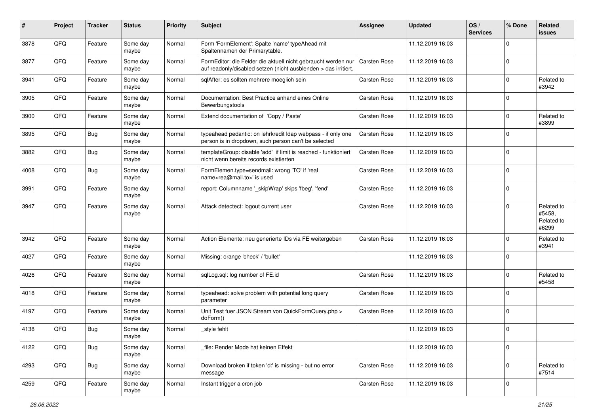| #    | Project | <b>Tracker</b> | <b>Status</b>     | <b>Priority</b> | <b>Subject</b>                                                                                                                   | <b>Assignee</b>     | <b>Updated</b>   | OS/<br><b>Services</b> | % Done      | Related<br><b>issues</b>                    |
|------|---------|----------------|-------------------|-----------------|----------------------------------------------------------------------------------------------------------------------------------|---------------------|------------------|------------------------|-------------|---------------------------------------------|
| 3878 | QFQ     | Feature        | Some day<br>maybe | Normal          | Form 'FormElement': Spalte 'name' typeAhead mit<br>Spaltennamen der Primarytable.                                                |                     | 11.12.2019 16:03 |                        | $\mathbf 0$ |                                             |
| 3877 | QFQ     | Feature        | Some day<br>maybe | Normal          | FormEditor: die Felder die aktuell nicht gebraucht werden nur<br>auf readonly/disabled setzen (nicht ausblenden > das irritiert. | Carsten Rose        | 11.12.2019 16:03 |                        | $\Omega$    |                                             |
| 3941 | QFQ     | Feature        | Some day<br>maybe | Normal          | sqlAfter: es sollten mehrere moeglich sein                                                                                       | Carsten Rose        | 11.12.2019 16:03 |                        | $\Omega$    | Related to<br>#3942                         |
| 3905 | QFQ     | Feature        | Some day<br>maybe | Normal          | Documentation: Best Practice anhand eines Online<br>Bewerbungstools                                                              | Carsten Rose        | 11.12.2019 16:03 |                        | $\Omega$    |                                             |
| 3900 | QFQ     | Feature        | Some day<br>maybe | Normal          | Extend documentation of 'Copy / Paste'                                                                                           | <b>Carsten Rose</b> | 11.12.2019 16:03 |                        | $\Omega$    | Related to<br>#3899                         |
| 3895 | QFQ     | <b>Bug</b>     | Some day<br>maybe | Normal          | typeahead pedantic: on lehrkredit Idap webpass - if only one<br>person is in dropdown, such person can't be selected             | Carsten Rose        | 11.12.2019 16:03 |                        | $\Omega$    |                                             |
| 3882 | QFQ     | <b>Bug</b>     | Some day<br>maybe | Normal          | templateGroup: disable 'add' if limit is reached - funktioniert<br>nicht wenn bereits records existierten                        | Carsten Rose        | 11.12.2019 16:03 |                        | $\Omega$    |                                             |
| 4008 | QFQ     | <b>Bug</b>     | Some day<br>maybe | Normal          | FormElemen.type=sendmail: wrong 'TO' if 'real<br>name <rea@mail.to>' is used</rea@mail.to>                                       | Carsten Rose        | 11.12.2019 16:03 |                        | $\mathbf 0$ |                                             |
| 3991 | QFQ     | Feature        | Some day<br>maybe | Normal          | report: Columnname '_skipWrap' skips 'fbeg', 'fend'                                                                              | Carsten Rose        | 11.12.2019 16:03 |                        | 0           |                                             |
| 3947 | QFQ     | Feature        | Some day<br>maybe | Normal          | Attack detectect: logout current user                                                                                            | Carsten Rose        | 11.12.2019 16:03 |                        | $\Omega$    | Related to<br>#5458,<br>Related to<br>#6299 |
| 3942 | QFQ     | Feature        | Some day<br>maybe | Normal          | Action Elemente: neu generierte IDs via FE weitergeben                                                                           | <b>Carsten Rose</b> | 11.12.2019 16:03 |                        | $\Omega$    | Related to<br>#3941                         |
| 4027 | QFQ     | Feature        | Some day<br>maybe | Normal          | Missing: orange 'check' / 'bullet'                                                                                               |                     | 11.12.2019 16:03 |                        | $\Omega$    |                                             |
| 4026 | QFQ     | Feature        | Some day<br>maybe | Normal          | sqlLog.sql: log number of FE.id                                                                                                  | Carsten Rose        | 11.12.2019 16:03 |                        | $\Omega$    | Related to<br>#5458                         |
| 4018 | QFQ     | Feature        | Some day<br>maybe | Normal          | typeahead: solve problem with potential long query<br>parameter                                                                  | Carsten Rose        | 11.12.2019 16:03 |                        | $\Omega$    |                                             |
| 4197 | QFQ     | Feature        | Some day<br>maybe | Normal          | Unit Test fuer JSON Stream von QuickFormQuery.php ><br>doForm()                                                                  | Carsten Rose        | 11.12.2019 16:03 |                        | $\Omega$    |                                             |
| 4138 | QFQ     | <b>Bug</b>     | Some day<br>maybe | Normal          | _style fehlt                                                                                                                     |                     | 11.12.2019 16:03 |                        | $\Omega$    |                                             |
| 4122 | QFQ     | <b>Bug</b>     | Some day<br>maybe | Normal          | file: Render Mode hat keinen Effekt                                                                                              |                     | 11.12.2019 16:03 |                        | $\mathbf 0$ |                                             |
| 4293 | QFO     | <b>Bug</b>     | Some day<br>maybe | Normal          | Download broken if token 'd:' is missing - but no error<br>message                                                               | Carsten Rose        | 11.12.2019 16:03 |                        | 0           | Related to<br>#7514                         |
| 4259 | QFQ     | Feature        | Some day<br>maybe | Normal          | Instant trigger a cron job                                                                                                       | Carsten Rose        | 11.12.2019 16:03 |                        | 0           |                                             |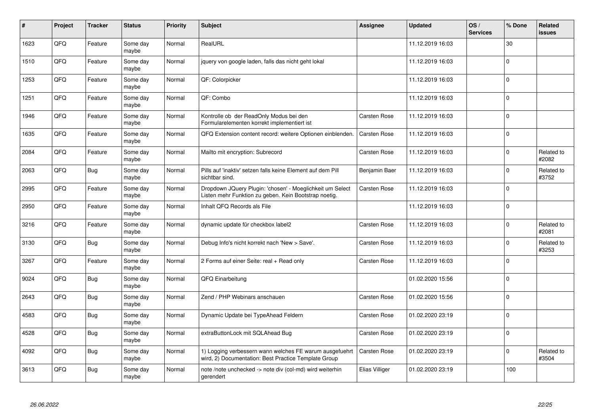| $\sharp$ | Project | <b>Tracker</b> | <b>Status</b>     | Priority | Subject                                                                                                            | Assignee       | <b>Updated</b>   | OS/<br><b>Services</b> | % Done      | Related<br><b>issues</b> |
|----------|---------|----------------|-------------------|----------|--------------------------------------------------------------------------------------------------------------------|----------------|------------------|------------------------|-------------|--------------------------|
| 1623     | QFQ     | Feature        | Some day<br>maybe | Normal   | RealURL                                                                                                            |                | 11.12.2019 16:03 |                        | 30          |                          |
| 1510     | QFQ     | Feature        | Some day<br>maybe | Normal   | jquery von google laden, falls das nicht geht lokal                                                                |                | 11.12.2019 16:03 |                        | $\mathbf 0$ |                          |
| 1253     | QFQ     | Feature        | Some day<br>maybe | Normal   | QF: Colorpicker                                                                                                    |                | 11.12.2019 16:03 |                        | $\Omega$    |                          |
| 1251     | QFQ     | Feature        | Some day<br>maybe | Normal   | QF: Combo                                                                                                          |                | 11.12.2019 16:03 |                        | $\Omega$    |                          |
| 1946     | QFQ     | Feature        | Some day<br>maybe | Normal   | Kontrolle ob der ReadOnly Modus bei den<br>Formularelementen korrekt implementiert ist                             | Carsten Rose   | 11.12.2019 16:03 |                        | $\mathbf 0$ |                          |
| 1635     | QFQ     | Feature        | Some day<br>maybe | Normal   | QFQ Extension content record: weitere Optionen einblenden.                                                         | Carsten Rose   | 11.12.2019 16:03 |                        | $\pmb{0}$   |                          |
| 2084     | QFQ     | Feature        | Some day<br>maybe | Normal   | Mailto mit encryption: Subrecord                                                                                   | Carsten Rose   | 11.12.2019 16:03 |                        | $\Omega$    | Related to<br>#2082      |
| 2063     | QFQ     | Bug            | Some day<br>maybe | Normal   | Pills auf 'inaktiv' setzen falls keine Element auf dem Pill<br>sichtbar sind.                                      | Benjamin Baer  | 11.12.2019 16:03 |                        | $\Omega$    | Related to<br>#3752      |
| 2995     | QFQ     | Feature        | Some day<br>maybe | Normal   | Dropdown JQuery Plugin: 'chosen' - Moeglichkeit um Select<br>Listen mehr Funktion zu geben. Kein Bootstrap noetig. | Carsten Rose   | 11.12.2019 16:03 |                        | $\pmb{0}$   |                          |
| 2950     | QFQ     | Feature        | Some day<br>maybe | Normal   | Inhalt QFQ Records als File                                                                                        |                | 11.12.2019 16:03 |                        | $\mathbf 0$ |                          |
| 3216     | QFQ     | Feature        | Some day<br>maybe | Normal   | dynamic update für checkbox label2                                                                                 | Carsten Rose   | 11.12.2019 16:03 |                        | $\Omega$    | Related to<br>#2081      |
| 3130     | QFQ     | Bug            | Some day<br>maybe | Normal   | Debug Info's nicht korrekt nach 'New > Save'.                                                                      | Carsten Rose   | 11.12.2019 16:03 |                        | $\Omega$    | Related to<br>#3253      |
| 3267     | QFQ     | Feature        | Some day<br>maybe | Normal   | 2 Forms auf einer Seite: real + Read only                                                                          | Carsten Rose   | 11.12.2019 16:03 |                        | $\mathbf 0$ |                          |
| 9024     | QFQ     | <b>Bug</b>     | Some day<br>maybe | Normal   | QFQ Einarbeitung                                                                                                   |                | 01.02.2020 15:56 |                        | $\Omega$    |                          |
| 2643     | QFQ     | Bug            | Some day<br>maybe | Normal   | Zend / PHP Webinars anschauen                                                                                      | Carsten Rose   | 01.02.2020 15:56 |                        | $\Omega$    |                          |
| 4583     | QFQ     | <b>Bug</b>     | Some day<br>maybe | Normal   | Dynamic Update bei TypeAhead Feldern                                                                               | Carsten Rose   | 01.02.2020 23:19 |                        | $\Omega$    |                          |
| 4528     | QFQ     | <b>Bug</b>     | Some day<br>maybe | Normal   | extraButtonLock mit SQLAhead Bug                                                                                   | Carsten Rose   | 01.02.2020 23:19 |                        | $\Omega$    |                          |
| 4092     | QFQ     | Bug            | Some day<br>maybe | Normal   | 1) Logging verbessern wann welches FE warum ausgefuehrt<br>wird, 2) Documentation: Best Practice Template Group    | Carsten Rose   | 01.02.2020 23:19 |                        | $\mathbf 0$ | Related to<br>#3504      |
| 3613     | QFQ     | Bug            | Some day<br>maybe | Normal   | note /note unchecked -> note div (col-md) wird weiterhin<br>gerendert                                              | Elias Villiger | 01.02.2020 23:19 |                        | 100         |                          |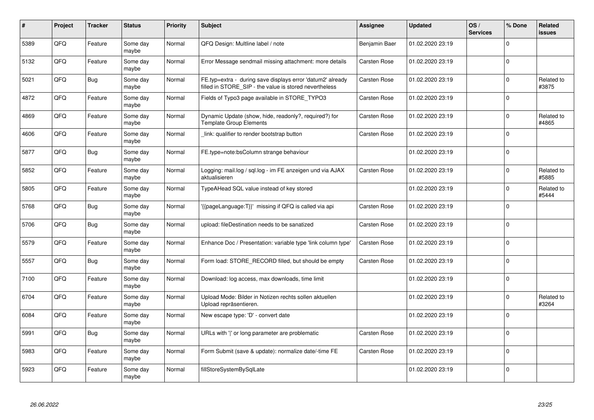| ∦    | Project | <b>Tracker</b> | <b>Status</b>     | <b>Priority</b> | <b>Subject</b>                                                                                                       | <b>Assignee</b>     | <b>Updated</b>   | OS/<br><b>Services</b> | % Done      | Related<br><b>issues</b> |
|------|---------|----------------|-------------------|-----------------|----------------------------------------------------------------------------------------------------------------------|---------------------|------------------|------------------------|-------------|--------------------------|
| 5389 | QFQ     | Feature        | Some day<br>maybe | Normal          | QFQ Design: Multline label / note                                                                                    | Benjamin Baer       | 01.02.2020 23:19 |                        | $\Omega$    |                          |
| 5132 | QFQ     | Feature        | Some day<br>maybe | Normal          | Error Message sendmail missing attachment: more details                                                              | Carsten Rose        | 01.02.2020 23:19 |                        | $\Omega$    |                          |
| 5021 | QFQ     | <b>Bug</b>     | Some day<br>maybe | Normal          | FE.typ=extra - during save displays error 'datum2' already<br>filled in STORE SIP - the value is stored nevertheless | <b>Carsten Rose</b> | 01.02.2020 23:19 |                        | $\mathbf 0$ | Related to<br>#3875      |
| 4872 | QFQ     | Feature        | Some day<br>maybe | Normal          | Fields of Typo3 page available in STORE_TYPO3                                                                        | Carsten Rose        | 01.02.2020 23:19 |                        | $\Omega$    |                          |
| 4869 | QFQ     | Feature        | Some day<br>maybe | Normal          | Dynamic Update (show, hide, readonly?, required?) for<br><b>Template Group Elements</b>                              | Carsten Rose        | 01.02.2020 23:19 |                        | $\Omega$    | Related to<br>#4865      |
| 4606 | QFQ     | Feature        | Some day<br>maybe | Normal          | link: qualifier to render bootstrap button                                                                           | Carsten Rose        | 01.02.2020 23:19 |                        | $\mathbf 0$ |                          |
| 5877 | QFQ     | <b>Bug</b>     | Some day<br>maybe | Normal          | FE.type=note:bsColumn strange behaviour                                                                              |                     | 01.02.2020 23:19 |                        | $\Omega$    |                          |
| 5852 | QFQ     | Feature        | Some day<br>maybe | Normal          | Logging: mail.log / sql.log - im FE anzeigen und via AJAX<br>aktualisieren                                           | Carsten Rose        | 01.02.2020 23:19 |                        | $\Omega$    | Related to<br>#5885      |
| 5805 | QFQ     | Feature        | Some day<br>maybe | Normal          | TypeAHead SQL value instead of key stored                                                                            |                     | 01.02.2020 23:19 |                        | $\Omega$    | Related to<br>#5444      |
| 5768 | QFQ     | <b>Bug</b>     | Some day<br>maybe | Normal          | {{pageLanguage:T}}' missing if QFQ is called via api                                                                 | <b>Carsten Rose</b> | 01.02.2020 23:19 |                        | $\mathbf 0$ |                          |
| 5706 | QFQ     | <b>Bug</b>     | Some day<br>maybe | Normal          | upload: fileDestination needs to be sanatized                                                                        | Carsten Rose        | 01.02.2020 23:19 |                        | $\Omega$    |                          |
| 5579 | QFQ     | Feature        | Some day<br>maybe | Normal          | Enhance Doc / Presentation: variable type 'link column type'                                                         | Carsten Rose        | 01.02.2020 23:19 |                        | $\Omega$    |                          |
| 5557 | QFQ     | Bug            | Some day<br>maybe | Normal          | Form load: STORE RECORD filled, but should be empty                                                                  | <b>Carsten Rose</b> | 01.02.2020 23:19 |                        | 0 l         |                          |
| 7100 | QFQ     | Feature        | Some day<br>maybe | Normal          | Download: log access, max downloads, time limit                                                                      |                     | 01.02.2020 23:19 |                        | $\Omega$    |                          |
| 6704 | QFQ     | Feature        | Some day<br>maybe | Normal          | Upload Mode: Bilder in Notizen rechts sollen aktuellen<br>Upload repräsentieren.                                     |                     | 01.02.2020 23:19 |                        | $\Omega$    | Related to<br>#3264      |
| 6084 | QFQ     | Feature        | Some day<br>maybe | Normal          | New escape type: 'D' - convert date                                                                                  |                     | 01.02.2020 23:19 |                        | $\Omega$    |                          |
| 5991 | QFQ     | <b>Bug</b>     | Some day<br>maybe | Normal          | URLs with ' ' or long parameter are problematic                                                                      | <b>Carsten Rose</b> | 01.02.2020 23:19 |                        | $\mathbf 0$ |                          |
| 5983 | QFQ     | Feature        | Some day<br>maybe | Normal          | Form Submit (save & update): normalize date/-time FE                                                                 | Carsten Rose        | 01.02.2020 23:19 |                        | $\Omega$    |                          |
| 5923 | QFQ     | Feature        | Some day<br>maybe | Normal          | fillStoreSystemBySqlLate                                                                                             |                     | 01.02.2020 23:19 |                        | $\Omega$    |                          |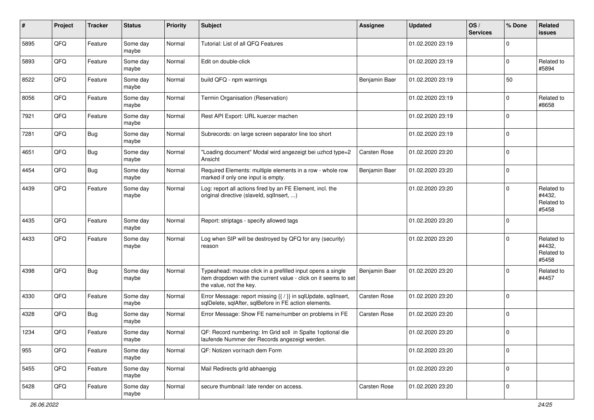| $\#$ | Project | <b>Tracker</b> | <b>Status</b>     | <b>Priority</b> | <b>Subject</b>                                                                                                                                           | <b>Assignee</b> | <b>Updated</b>   | OS/<br><b>Services</b> | % Done      | Related<br><b>issues</b>                    |
|------|---------|----------------|-------------------|-----------------|----------------------------------------------------------------------------------------------------------------------------------------------------------|-----------------|------------------|------------------------|-------------|---------------------------------------------|
| 5895 | QFQ     | Feature        | Some day<br>maybe | Normal          | Tutorial: List of all QFQ Features                                                                                                                       |                 | 01.02.2020 23:19 |                        | $\mathbf 0$ |                                             |
| 5893 | QFQ     | Feature        | Some day<br>maybe | Normal          | Edit on double-click                                                                                                                                     |                 | 01.02.2020 23:19 |                        | $\mathbf 0$ | Related to<br>#5894                         |
| 8522 | QFQ     | Feature        | Some day<br>maybe | Normal          | build QFQ - npm warnings                                                                                                                                 | Benjamin Baer   | 01.02.2020 23:19 |                        | 50          |                                             |
| 8056 | QFQ     | Feature        | Some day<br>maybe | Normal          | Termin Organisation (Reservation)                                                                                                                        |                 | 01.02.2020 23:19 |                        | $\mathbf 0$ | Related to<br>#8658                         |
| 7921 | QFQ     | Feature        | Some day<br>maybe | Normal          | Rest API Export: URL kuerzer machen                                                                                                                      |                 | 01.02.2020 23:19 |                        | $\mathbf 0$ |                                             |
| 7281 | QFQ     | <b>Bug</b>     | Some day<br>maybe | Normal          | Subrecords: on large screen separator line too short                                                                                                     |                 | 01.02.2020 23:19 |                        | $\mathbf 0$ |                                             |
| 4651 | QFQ     | Bug            | Some day<br>maybe | Normal          | "Loading document" Modal wird angezeigt bei uzhcd type=2<br>Ansicht                                                                                      | Carsten Rose    | 01.02.2020 23:20 |                        | $\Omega$    |                                             |
| 4454 | QFQ     | Bug            | Some day<br>maybe | Normal          | Required Elements: multiple elements in a row - whole row<br>marked if only one input is empty.                                                          | Benjamin Baer   | 01.02.2020 23:20 |                        | $\mathbf 0$ |                                             |
| 4439 | QFQ     | Feature        | Some day<br>maybe | Normal          | Log: report all actions fired by an FE Element, incl. the<br>original directive (slaveld, sqllnsert, )                                                   |                 | 01.02.2020 23:20 |                        | $\Omega$    | Related to<br>#4432,<br>Related to<br>#5458 |
| 4435 | QFQ     | Feature        | Some day<br>maybe | Normal          | Report: striptags - specify allowed tags                                                                                                                 |                 | 01.02.2020 23:20 |                        | 0           |                                             |
| 4433 | QFQ     | Feature        | Some day<br>maybe | Normal          | Log when SIP will be destroyed by QFQ for any (security)<br>reason                                                                                       |                 | 01.02.2020 23:20 |                        | $\Omega$    | Related to<br>#4432,<br>Related to<br>#5458 |
| 4398 | QFQ     | <b>Bug</b>     | Some day<br>maybe | Normal          | Typeahead: mouse click in a prefilled input opens a single<br>item dropdown with the current value - click on it seems to set<br>the value, not the key. | Benjamin Baer   | 01.02.2020 23:20 |                        | $\Omega$    | Related to<br>#4457                         |
| 4330 | QFQ     | Feature        | Some day<br>maybe | Normal          | Error Message: report missing {{ / }} in sqlUpdate, sqlInsert,<br>sqlDelete, sqlAfter, sqlBefore in FE action elements.                                  | Carsten Rose    | 01.02.2020 23:20 |                        | $\Omega$    |                                             |
| 4328 | QFQ     | Bug            | Some day<br>maybe | Normal          | Error Message: Show FE name/number on problems in FE                                                                                                     | Carsten Rose    | 01.02.2020 23:20 |                        | $\mathbf 0$ |                                             |
| 1234 | QFQ     | Feature        | Some day<br>maybe | Normal          | QF: Record numbering: Im Grid soll in Spalte 1 optional die<br>laufende Nummer der Records angezeigt werden.                                             |                 | 01.02.2020 23:20 |                        | 0           |                                             |
| 955  | QFQ     | Feature        | Some day<br>maybe | Normal          | QF: Notizen vor/nach dem Form                                                                                                                            |                 | 01.02.2020 23:20 |                        | $\mathbf 0$ |                                             |
| 5455 | QFQ     | Feature        | Some day<br>maybe | Normal          | Mail Redirects grld abhaengig                                                                                                                            |                 | 01.02.2020 23:20 |                        | 0           |                                             |
| 5428 | QFQ     | Feature        | Some day<br>maybe | Normal          | secure thumbnail: late render on access.                                                                                                                 | Carsten Rose    | 01.02.2020 23:20 |                        | 0           |                                             |